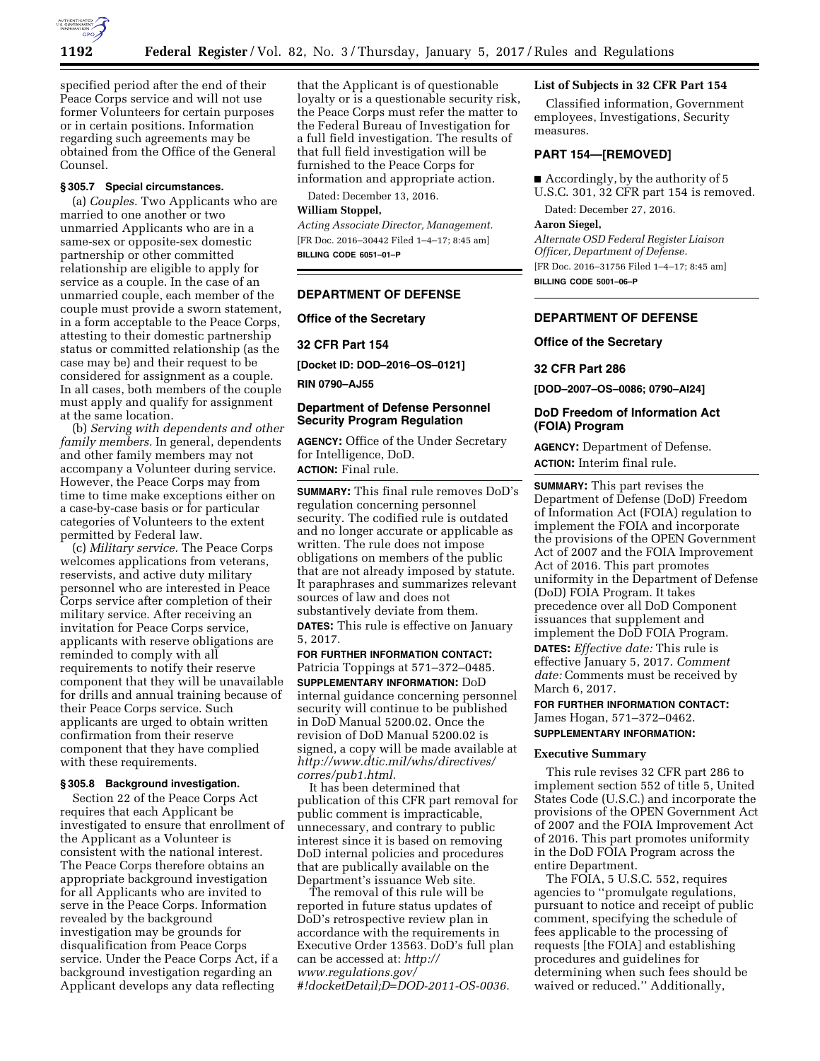

specified period after the end of their Peace Corps service and will not use former Volunteers for certain purposes or in certain positions. Information regarding such agreements may be obtained from the Office of the General Counsel.

# **§ 305.7 Special circumstances.**

(a) *Couples.* Two Applicants who are married to one another or two unmarried Applicants who are in a same-sex or opposite-sex domestic partnership or other committed relationship are eligible to apply for service as a couple. In the case of an unmarried couple, each member of the couple must provide a sworn statement, in a form acceptable to the Peace Corps, attesting to their domestic partnership status or committed relationship (as the case may be) and their request to be considered for assignment as a couple. In all cases, both members of the couple must apply and qualify for assignment at the same location.

(b) *Serving with dependents and other family members.* In general, dependents and other family members may not accompany a Volunteer during service. However, the Peace Corps may from time to time make exceptions either on a case-by-case basis or for particular categories of Volunteers to the extent permitted by Federal law.

(c) *Military service.* The Peace Corps welcomes applications from veterans, reservists, and active duty military personnel who are interested in Peace Corps service after completion of their military service. After receiving an invitation for Peace Corps service, applicants with reserve obligations are reminded to comply with all requirements to notify their reserve component that they will be unavailable for drills and annual training because of their Peace Corps service. Such applicants are urged to obtain written confirmation from their reserve component that they have complied with these requirements.

### **§ 305.8 Background investigation.**

Section 22 of the Peace Corps Act requires that each Applicant be investigated to ensure that enrollment of the Applicant as a Volunteer is consistent with the national interest. The Peace Corps therefore obtains an appropriate background investigation for all Applicants who are invited to serve in the Peace Corps. Information revealed by the background investigation may be grounds for disqualification from Peace Corps service. Under the Peace Corps Act, if a background investigation regarding an Applicant develops any data reflecting

that the Applicant is of questionable loyalty or is a questionable security risk, the Peace Corps must refer the matter to the Federal Bureau of Investigation for a full field investigation. The results of that full field investigation will be furnished to the Peace Corps for information and appropriate action.

Dated: December 13, 2016.

# **William Stoppel,**

*Acting Associate Director, Management.*  [FR Doc. 2016–30442 Filed 1–4–17; 8:45 am] **BILLING CODE 6051–01–P** 

### **DEPARTMENT OF DEFENSE**

**Office of the Secretary** 

#### **32 CFR Part 154**

**[Docket ID: DOD–2016–OS–0121]** 

**RIN 0790–AJ55** 

## **Department of Defense Personnel Security Program Regulation**

**AGENCY:** Office of the Under Secretary for Intelligence, DoD. **ACTION:** Final rule.

**SUMMARY:** This final rule removes DoD's regulation concerning personnel security. The codified rule is outdated and no longer accurate or applicable as written. The rule does not impose obligations on members of the public that are not already imposed by statute. It paraphrases and summarizes relevant sources of law and does not substantively deviate from them.

**DATES:** This rule is effective on January 5, 2017.

# **FOR FURTHER INFORMATION CONTACT:**

Patricia Toppings at 571–372–0485. **SUPPLEMENTARY INFORMATION:** DoD internal guidance concerning personnel security will continue to be published in DoD Manual 5200.02. Once the revision of DoD Manual 5200.02 is signed, a copy will be made available at *[http://www.dtic.mil/whs/directives/](http://www.dtic.mil/whs/directives/corres/pub1.html) [corres/pub1.html.](http://www.dtic.mil/whs/directives/corres/pub1.html)* 

It has been determined that publication of this CFR part removal for public comment is impracticable, unnecessary, and contrary to public interest since it is based on removing DoD internal policies and procedures that are publically available on the Department's issuance Web site.

The removal of this rule will be reported in future status updates of DoD's retrospective review plan in accordance with the requirements in Executive Order 13563. DoD's full plan can be accessed at: *[http://](http://www.regulations.gov/#!docketDetail;D=DOD-2011-OS-0036) [www.regulations.gov/](http://www.regulations.gov/#!docketDetail;D=DOD-2011-OS-0036) [#!docketDetail;D=DOD-2011-OS-0036.](http://www.regulations.gov/#!docketDetail;D=DOD-2011-OS-0036)* 

## **List of Subjects in 32 CFR Part 154**

Classified information, Government employees, Investigations, Security measures.

### **PART 154—[REMOVED]**

■ Accordingly, by the authority of 5 U.S.C. 301, 32 CFR part 154 is removed.

Dated: December 27, 2016.

### **Aaron Siegel,**

*Alternate OSD Federal Register Liaison Officer, Department of Defense.*  [FR Doc. 2016–31756 Filed 1–4–17; 8:45 am] **BILLING CODE 5001–06–P** 

## **DEPARTMENT OF DEFENSE**

### **Office of the Secretary**

**32 CFR Part 286** 

**[DOD–2007–OS–0086; 0790–AI24]** 

### **DoD Freedom of Information Act (FOIA) Program**

**AGENCY:** Department of Defense. **ACTION:** Interim final rule.

**SUMMARY:** This part revises the Department of Defense (DoD) Freedom of Information Act (FOIA) regulation to implement the FOIA and incorporate the provisions of the OPEN Government Act of 2007 and the FOIA Improvement Act of 2016. This part promotes uniformity in the Department of Defense (DoD) FOIA Program. It takes precedence over all DoD Component issuances that supplement and implement the DoD FOIA Program.

**DATES:** *Effective date:* This rule is effective January 5, 2017. *Comment date:* Comments must be received by March 6, 2017.

**FOR FURTHER INFORMATION CONTACT:**  James Hogan, 571–372–0462. **SUPPLEMENTARY INFORMATION:** 

#### **Executive Summary**

This rule revises 32 CFR part 286 to implement section 552 of title 5, United States Code (U.S.C.) and incorporate the provisions of the OPEN Government Act of 2007 and the FOIA Improvement Act of 2016. This part promotes uniformity in the DoD FOIA Program across the entire Department.

The FOIA, 5 U.S.C. 552, requires agencies to ''promulgate regulations, pursuant to notice and receipt of public comment, specifying the schedule of fees applicable to the processing of requests [the FOIA] and establishing procedures and guidelines for determining when such fees should be waived or reduced.'' Additionally,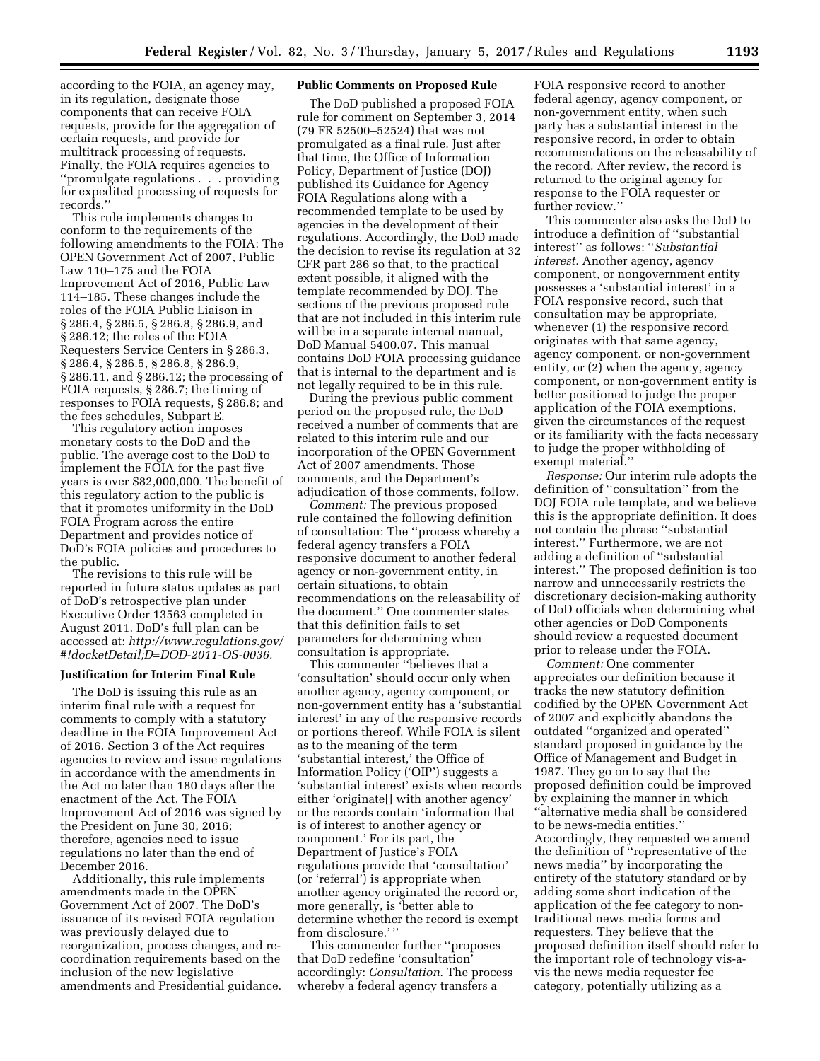according to the FOIA, an agency may, in its regulation, designate those components that can receive FOIA requests, provide for the aggregation of certain requests, and provide for multitrack processing of requests. Finally, the FOIA requires agencies to ''promulgate regulations . . . providing for expedited processing of requests for records.''

This rule implements changes to conform to the requirements of the following amendments to the FOIA: The OPEN Government Act of 2007, Public Law 110–175 and the FOIA Improvement Act of 2016, Public Law 114–185. These changes include the roles of the FOIA Public Liaison in § 286.4, § 286.5, § 286.8, § 286.9, and § 286.12; the roles of the FOIA Requesters Service Centers in § 286.3, § 286.4, § 286.5, § 286.8, § 286.9, § 286.11, and § 286.12; the processing of FOIA requests, § 286.7; the timing of responses to FOIA requests, § 286.8; and the fees schedules, Subpart E.

This regulatory action imposes monetary costs to the DoD and the public. The average cost to the DoD to implement the FOIA for the past five years is over \$82,000,000. The benefit of this regulatory action to the public is that it promotes uniformity in the DoD FOIA Program across the entire Department and provides notice of DoD's FOIA policies and procedures to the public.

The revisions to this rule will be reported in future status updates as part of DoD's retrospective plan under Executive Order 13563 completed in August 2011. DoD's full plan can be accessed at: *[http://www.regulations.gov/](http://www.regulations.gov/#!docketDetail;D=DOD-2011-OS-0036)  [#!docketDetail;D=DOD-2011-OS-0036.](http://www.regulations.gov/#!docketDetail;D=DOD-2011-OS-0036)* 

#### **Justification for Interim Final Rule**

The DoD is issuing this rule as an interim final rule with a request for comments to comply with a statutory deadline in the FOIA Improvement Act of 2016. Section 3 of the Act requires agencies to review and issue regulations in accordance with the amendments in the Act no later than 180 days after the enactment of the Act. The FOIA Improvement Act of 2016 was signed by the President on June 30, 2016; therefore, agencies need to issue regulations no later than the end of December 2016.

Additionally, this rule implements amendments made in the OPEN Government Act of 2007. The DoD's issuance of its revised FOIA regulation was previously delayed due to reorganization, process changes, and recoordination requirements based on the inclusion of the new legislative amendments and Presidential guidance.

### **Public Comments on Proposed Rule**

The DoD published a proposed FOIA rule for comment on September 3, 2014 (79 FR 52500–52524) that was not promulgated as a final rule. Just after that time, the Office of Information Policy, Department of Justice (DOJ) published its Guidance for Agency FOIA Regulations along with a recommended template to be used by agencies in the development of their regulations. Accordingly, the DoD made the decision to revise its regulation at 32 CFR part 286 so that, to the practical extent possible, it aligned with the template recommended by DOJ. The sections of the previous proposed rule that are not included in this interim rule will be in a separate internal manual, DoD Manual 5400.07. This manual contains DoD FOIA processing guidance that is internal to the department and is not legally required to be in this rule.

During the previous public comment period on the proposed rule, the DoD received a number of comments that are related to this interim rule and our incorporation of the OPEN Government Act of 2007 amendments. Those comments, and the Department's adjudication of those comments, follow.

*Comment:* The previous proposed rule contained the following definition of consultation: The ''process whereby a federal agency transfers a FOIA responsive document to another federal agency or non-government entity, in certain situations, to obtain recommendations on the releasability of the document.'' One commenter states that this definition fails to set parameters for determining when consultation is appropriate.

This commenter ''believes that a 'consultation' should occur only when another agency, agency component, or non-government entity has a 'substantial interest' in any of the responsive records or portions thereof. While FOIA is silent as to the meaning of the term 'substantial interest,' the Office of Information Policy ('OIP') suggests a 'substantial interest' exists when records either 'originate[] with another agency' or the records contain 'information that is of interest to another agency or component.' For its part, the Department of Justice's FOIA regulations provide that 'consultation' (or 'referral') is appropriate when another agency originated the record or, more generally, is 'better able to determine whether the record is exempt from disclosure.' ''

This commenter further ''proposes that DoD redefine 'consultation' accordingly: *Consultation.* The process whereby a federal agency transfers a

FOIA responsive record to another federal agency, agency component, or non-government entity, when such party has a substantial interest in the responsive record, in order to obtain recommendations on the releasability of the record. After review, the record is returned to the original agency for response to the FOIA requester or further review.''

This commenter also asks the DoD to introduce a definition of ''substantial interest'' as follows: ''*Substantial interest.* Another agency, agency component, or nongovernment entity possesses a 'substantial interest' in a FOIA responsive record, such that consultation may be appropriate, whenever (1) the responsive record originates with that same agency, agency component, or non-government entity, or (2) when the agency, agency component, or non-government entity is better positioned to judge the proper application of the FOIA exemptions, given the circumstances of the request or its familiarity with the facts necessary to judge the proper withholding of exempt material.''

*Response:* Our interim rule adopts the definition of ''consultation'' from the DOJ FOIA rule template, and we believe this is the appropriate definition. It does not contain the phrase ''substantial interest.'' Furthermore, we are not adding a definition of ''substantial interest.'' The proposed definition is too narrow and unnecessarily restricts the discretionary decision-making authority of DoD officials when determining what other agencies or DoD Components should review a requested document prior to release under the FOIA.

*Comment:* One commenter appreciates our definition because it tracks the new statutory definition codified by the OPEN Government Act of 2007 and explicitly abandons the outdated ''organized and operated'' standard proposed in guidance by the Office of Management and Budget in 1987. They go on to say that the proposed definition could be improved by explaining the manner in which ''alternative media shall be considered to be news-media entities.'' Accordingly, they requested we amend the definition of ''representative of the news media'' by incorporating the entirety of the statutory standard or by adding some short indication of the application of the fee category to nontraditional news media forms and requesters. They believe that the proposed definition itself should refer to the important role of technology vis-avis the news media requester fee category, potentially utilizing as a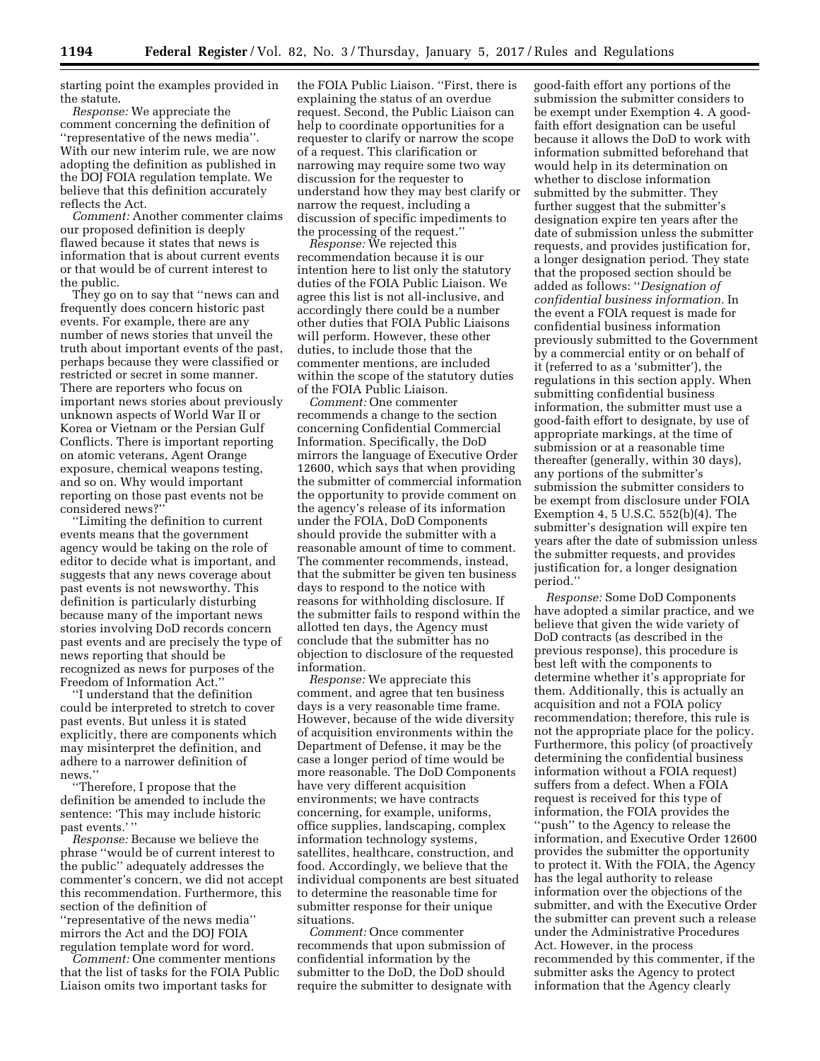starting point the examples provided in the statute.

*Response:* We appreciate the comment concerning the definition of ''representative of the news media''. With our new interim rule, we are now adopting the definition as published in the DOJ FOIA regulation template. We believe that this definition accurately reflects the Act.

*Comment:* Another commenter claims our proposed definition is deeply flawed because it states that news is information that is about current events or that would be of current interest to the public.

They go on to say that ''news can and frequently does concern historic past events. For example, there are any number of news stories that unveil the truth about important events of the past, perhaps because they were classified or restricted or secret in some manner. There are reporters who focus on important news stories about previously unknown aspects of World War II or Korea or Vietnam or the Persian Gulf Conflicts. There is important reporting on atomic veterans, Agent Orange exposure, chemical weapons testing, and so on. Why would important reporting on those past events not be considered news?''

''Limiting the definition to current events means that the government agency would be taking on the role of editor to decide what is important, and suggests that any news coverage about past events is not newsworthy. This definition is particularly disturbing because many of the important news stories involving DoD records concern past events and are precisely the type of news reporting that should be recognized as news for purposes of the Freedom of Information Act.''

''I understand that the definition could be interpreted to stretch to cover past events. But unless it is stated explicitly, there are components which may misinterpret the definition, and adhere to a narrower definition of news.''

''Therefore, I propose that the definition be amended to include the sentence: 'This may include historic past events.'"

*Response:* Because we believe the phrase ''would be of current interest to the public'' adequately addresses the commenter's concern, we did not accept this recommendation. Furthermore, this section of the definition of ''representative of the news media'' mirrors the Act and the DOJ FOIA regulation template word for word.

*Comment:* One commenter mentions that the list of tasks for the FOIA Public Liaison omits two important tasks for

the FOIA Public Liaison. ''First, there is explaining the status of an overdue request. Second, the Public Liaison can help to coordinate opportunities for a requester to clarify or narrow the scope of a request. This clarification or narrowing may require some two way discussion for the requester to understand how they may best clarify or narrow the request, including a discussion of specific impediments to the processing of the request.''

*Response:* We rejected this recommendation because it is our intention here to list only the statutory duties of the FOIA Public Liaison. We agree this list is not all-inclusive, and accordingly there could be a number other duties that FOIA Public Liaisons will perform. However, these other duties, to include those that the commenter mentions, are included within the scope of the statutory duties of the FOIA Public Liaison.

*Comment:* One commenter recommends a change to the section concerning Confidential Commercial Information. Specifically, the DoD mirrors the language of Executive Order 12600, which says that when providing the submitter of commercial information the opportunity to provide comment on the agency's release of its information under the FOIA, DoD Components should provide the submitter with a reasonable amount of time to comment. The commenter recommends, instead, that the submitter be given ten business days to respond to the notice with reasons for withholding disclosure. If the submitter fails to respond within the allotted ten days, the Agency must conclude that the submitter has no objection to disclosure of the requested information.

*Response:* We appreciate this comment, and agree that ten business days is a very reasonable time frame. However, because of the wide diversity of acquisition environments within the Department of Defense, it may be the case a longer period of time would be more reasonable. The DoD Components have very different acquisition environments; we have contracts concerning, for example, uniforms, office supplies, landscaping, complex information technology systems, satellites, healthcare, construction, and food. Accordingly, we believe that the individual components are best situated to determine the reasonable time for submitter response for their unique situations.

*Comment:* Once commenter recommends that upon submission of confidential information by the submitter to the DoD, the DoD should require the submitter to designate with good-faith effort any portions of the submission the submitter considers to be exempt under Exemption 4. A goodfaith effort designation can be useful because it allows the DoD to work with information submitted beforehand that would help in its determination on whether to disclose information submitted by the submitter. They further suggest that the submitter's designation expire ten years after the date of submission unless the submitter requests, and provides justification for, a longer designation period. They state that the proposed section should be added as follows: ''*Designation of confidential business information.* In the event a FOIA request is made for confidential business information previously submitted to the Government by a commercial entity or on behalf of it (referred to as a 'submitter'), the regulations in this section apply. When submitting confidential business information, the submitter must use a good-faith effort to designate, by use of appropriate markings, at the time of submission or at a reasonable time thereafter (generally, within 30 days), any portions of the submitter's submission the submitter considers to be exempt from disclosure under FOIA Exemption 4, 5 U.S.C. 552(b)(4). The submitter's designation will expire ten years after the date of submission unless the submitter requests, and provides justification for, a longer designation period.''

*Response:* Some DoD Components have adopted a similar practice, and we believe that given the wide variety of DoD contracts (as described in the previous response), this procedure is best left with the components to determine whether it's appropriate for them. Additionally, this is actually an acquisition and not a FOIA policy recommendation; therefore, this rule is not the appropriate place for the policy. Furthermore, this policy (of proactively determining the confidential business information without a FOIA request) suffers from a defect. When a FOIA request is received for this type of information, the FOIA provides the ''push'' to the Agency to release the information, and Executive Order 12600 provides the submitter the opportunity to protect it. With the FOIA, the Agency has the legal authority to release information over the objections of the submitter, and with the Executive Order the submitter can prevent such a release under the Administrative Procedures Act. However, in the process recommended by this commenter, if the submitter asks the Agency to protect information that the Agency clearly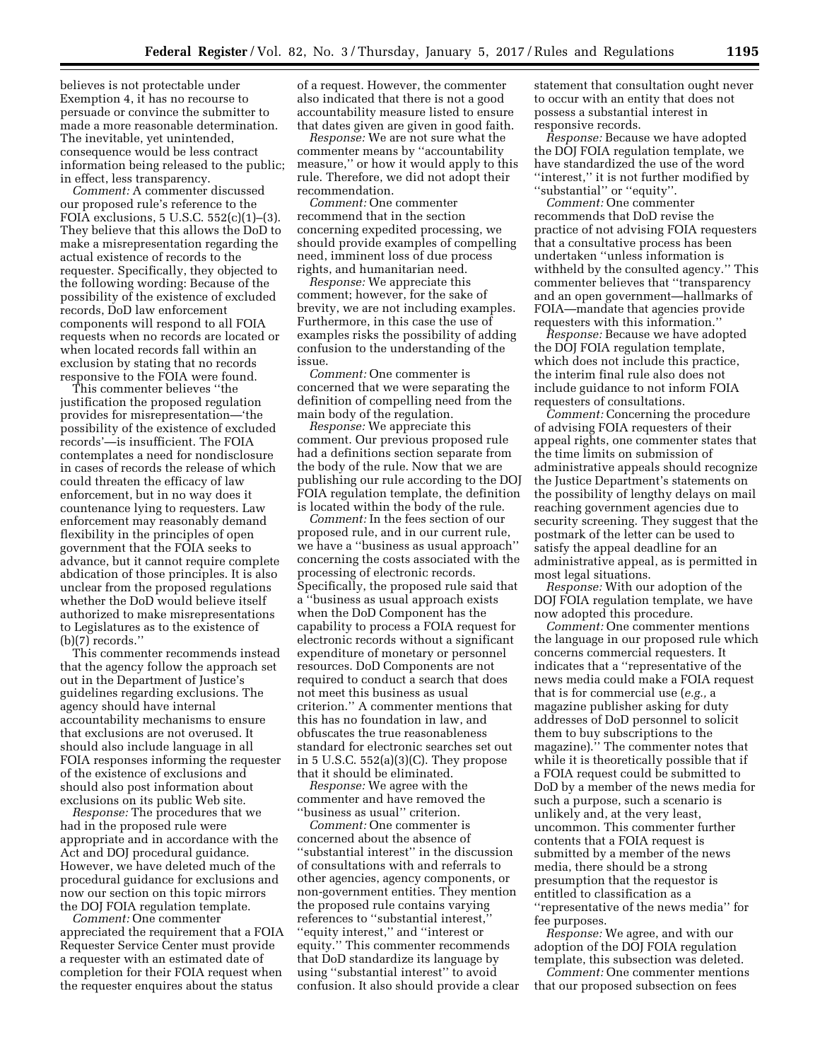believes is not protectable under Exemption 4, it has no recourse to persuade or convince the submitter to made a more reasonable determination. The inevitable, yet unintended, consequence would be less contract information being released to the public; in effect, less transparency.

*Comment:* A commenter discussed our proposed rule's reference to the FOIA exclusions, 5 U.S.C. 552(c)(1)–(3). They believe that this allows the DoD to make a misrepresentation regarding the actual existence of records to the requester. Specifically, they objected to the following wording: Because of the possibility of the existence of excluded records, DoD law enforcement components will respond to all FOIA requests when no records are located or when located records fall within an exclusion by stating that no records responsive to the FOIA were found.

This commenter believes ''the justification the proposed regulation provides for misrepresentation—'the possibility of the existence of excluded records'—is insufficient. The FOIA contemplates a need for nondisclosure in cases of records the release of which could threaten the efficacy of law enforcement, but in no way does it countenance lying to requesters. Law enforcement may reasonably demand flexibility in the principles of open government that the FOIA seeks to advance, but it cannot require complete abdication of those principles. It is also unclear from the proposed regulations whether the DoD would believe itself authorized to make misrepresentations to Legislatures as to the existence of (b)(7) records.''

This commenter recommends instead that the agency follow the approach set out in the Department of Justice's guidelines regarding exclusions. The agency should have internal accountability mechanisms to ensure that exclusions are not overused. It should also include language in all FOIA responses informing the requester of the existence of exclusions and should also post information about exclusions on its public Web site.

*Response:* The procedures that we had in the proposed rule were appropriate and in accordance with the Act and DOJ procedural guidance. However, we have deleted much of the procedural guidance for exclusions and now our section on this topic mirrors the DOJ FOIA regulation template.

*Comment:* One commenter appreciated the requirement that a FOIA Requester Service Center must provide a requester with an estimated date of completion for their FOIA request when the requester enquires about the status

of a request. However, the commenter also indicated that there is not a good accountability measure listed to ensure that dates given are given in good faith.

*Response:* We are not sure what the commenter means by ''accountability measure,'' or how it would apply to this rule. Therefore, we did not adopt their recommendation.

*Comment:* One commenter recommend that in the section concerning expedited processing, we should provide examples of compelling need, imminent loss of due process rights, and humanitarian need.

*Response:* We appreciate this comment; however, for the sake of brevity, we are not including examples. Furthermore, in this case the use of examples risks the possibility of adding confusion to the understanding of the issue.

*Comment:* One commenter is concerned that we were separating the definition of compelling need from the main body of the regulation.

*Response:* We appreciate this comment. Our previous proposed rule had a definitions section separate from the body of the rule. Now that we are publishing our rule according to the DOJ FOIA regulation template, the definition is located within the body of the rule.

*Comment:* In the fees section of our proposed rule, and in our current rule, we have a ''business as usual approach'' concerning the costs associated with the processing of electronic records. Specifically, the proposed rule said that a ''business as usual approach exists when the DoD Component has the capability to process a FOIA request for electronic records without a significant expenditure of monetary or personnel resources. DoD Components are not required to conduct a search that does not meet this business as usual criterion.'' A commenter mentions that this has no foundation in law, and obfuscates the true reasonableness standard for electronic searches set out in 5 U.S.C. 552(a)(3)(C). They propose that it should be eliminated.

*Response:* We agree with the commenter and have removed the ''business as usual'' criterion.

*Comment:* One commenter is concerned about the absence of ''substantial interest'' in the discussion of consultations with and referrals to other agencies, agency components, or non-government entities. They mention the proposed rule contains varying references to ''substantial interest,'' ''equity interest,'' and ''interest or equity.'' This commenter recommends that DoD standardize its language by using ''substantial interest'' to avoid confusion. It also should provide a clear

statement that consultation ought never to occur with an entity that does not possess a substantial interest in responsive records.

*Response:* Because we have adopted the DOJ FOIA regulation template, we have standardized the use of the word ''interest,'' it is not further modified by ''substantial'' or ''equity''.

*Comment:* One commenter recommends that DoD revise the practice of not advising FOIA requesters that a consultative process has been undertaken ''unless information is withheld by the consulted agency.'' This commenter believes that ''transparency and an open government—hallmarks of FOIA—mandate that agencies provide requesters with this information.''

*Response:* Because we have adopted the DOJ FOIA regulation template, which does not include this practice, the interim final rule also does not include guidance to not inform FOIA requesters of consultations.

*Comment:* Concerning the procedure of advising FOIA requesters of their appeal rights, one commenter states that the time limits on submission of administrative appeals should recognize the Justice Department's statements on the possibility of lengthy delays on mail reaching government agencies due to security screening. They suggest that the postmark of the letter can be used to satisfy the appeal deadline for an administrative appeal, as is permitted in most legal situations.

*Response:* With our adoption of the DOJ FOIA regulation template, we have now adopted this procedure.

*Comment:* One commenter mentions the language in our proposed rule which concerns commercial requesters. It indicates that a ''representative of the news media could make a FOIA request that is for commercial use (*e.g.,* a magazine publisher asking for duty addresses of DoD personnel to solicit them to buy subscriptions to the magazine).'' The commenter notes that while it is theoretically possible that if a FOIA request could be submitted to DoD by a member of the news media for such a purpose, such a scenario is unlikely and, at the very least, uncommon. This commenter further contents that a FOIA request is submitted by a member of the news media, there should be a strong presumption that the requestor is entitled to classification as a ''representative of the news media'' for fee purposes.

*Response:* We agree, and with our adoption of the DOJ FOIA regulation template, this subsection was deleted.

*Comment:* One commenter mentions that our proposed subsection on fees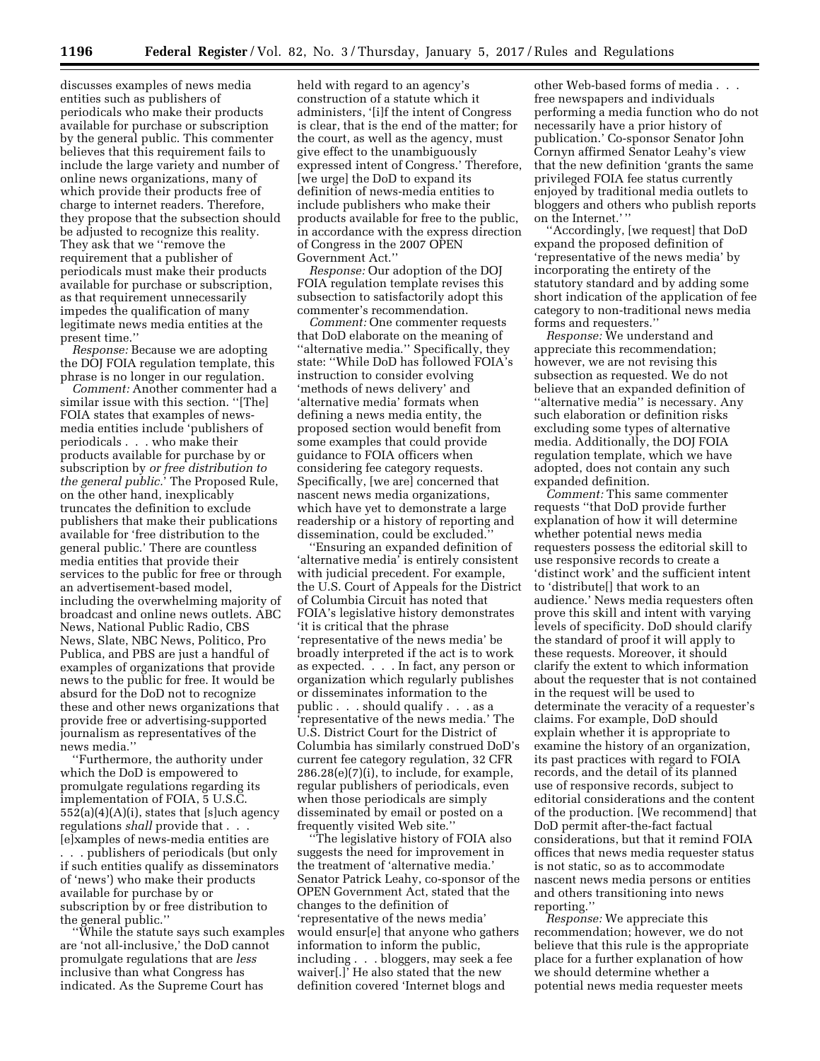discusses examples of news media entities such as publishers of periodicals who make their products available for purchase or subscription by the general public. This commenter believes that this requirement fails to include the large variety and number of online news organizations, many of which provide their products free of charge to internet readers. Therefore, they propose that the subsection should be adjusted to recognize this reality. They ask that we ''remove the requirement that a publisher of periodicals must make their products available for purchase or subscription, as that requirement unnecessarily impedes the qualification of many legitimate news media entities at the present time.''

*Response:* Because we are adopting the DOJ FOIA regulation template, this phrase is no longer in our regulation.

*Comment:* Another commenter had a similar issue with this section. ''[The] FOIA states that examples of newsmedia entities include 'publishers of periodicals . . . who make their products available for purchase by or subscription by *or free distribution to the general public.*' The Proposed Rule, on the other hand, inexplicably truncates the definition to exclude publishers that make their publications available for 'free distribution to the general public.' There are countless media entities that provide their services to the public for free or through an advertisement-based model, including the overwhelming majority of broadcast and online news outlets. ABC News, National Public Radio, CBS News, Slate, NBC News, Politico, Pro Publica, and PBS are just a handful of examples of organizations that provide news to the public for free. It would be absurd for the DoD not to recognize these and other news organizations that provide free or advertising-supported journalism as representatives of the news media.''

''Furthermore, the authority under which the DoD is empowered to promulgate regulations regarding its implementation of FOIA, 5 U.S.C.  $552(a)(4)(A)(i)$ , states that [s]uch agency regulations *shall* provide that . . . [e]xamples of news-media entities are . . . publishers of periodicals (but only if such entities qualify as disseminators of 'news') who make their products available for purchase by or subscription by or free distribution to the general public.''

''While the statute says such examples are 'not all-inclusive,' the DoD cannot promulgate regulations that are *less*  inclusive than what Congress has indicated. As the Supreme Court has

held with regard to an agency's construction of a statute which it administers, '[i]f the intent of Congress is clear, that is the end of the matter; for the court, as well as the agency, must give effect to the unambiguously expressed intent of Congress.' Therefore, [we urge] the DoD to expand its definition of news-media entities to include publishers who make their products available for free to the public, in accordance with the express direction of Congress in the 2007 OPEN Government Act.''

*Response:* Our adoption of the DOJ FOIA regulation template revises this subsection to satisfactorily adopt this commenter's recommendation.

*Comment:* One commenter requests that DoD elaborate on the meaning of ''alternative media.'' Specifically, they state: ''While DoD has followed FOIA's instruction to consider evolving 'methods of news delivery' and 'alternative media' formats when defining a news media entity, the proposed section would benefit from some examples that could provide guidance to FOIA officers when considering fee category requests. Specifically, [we are] concerned that nascent news media organizations, which have yet to demonstrate a large readership or a history of reporting and dissemination, could be excluded.''

''Ensuring an expanded definition of 'alternative media' is entirely consistent with judicial precedent. For example, the U.S. Court of Appeals for the District of Columbia Circuit has noted that FOIA's legislative history demonstrates 'it is critical that the phrase 'representative of the news media' be broadly interpreted if the act is to work as expected. . . . In fact, any person or organization which regularly publishes or disseminates information to the public . . . should qualify . . . as a 'representative of the news media.' The U.S. District Court for the District of Columbia has similarly construed DoD's current fee category regulation, 32 CFR 286.28(e)(7)(i), to include, for example, regular publishers of periodicals, even when those periodicals are simply disseminated by email or posted on a frequently visited Web site.''

''The legislative history of FOIA also suggests the need for improvement in the treatment of 'alternative media.' Senator Patrick Leahy, co-sponsor of the OPEN Government Act, stated that the changes to the definition of 'representative of the news media' would ensur[e] that anyone who gathers information to inform the public, including . . . bloggers, may seek a fee waiver[.]' He also stated that the new definition covered 'Internet blogs and

other Web-based forms of media free newspapers and individuals performing a media function who do not necessarily have a prior history of publication.' Co-sponsor Senator John Cornyn affirmed Senator Leahy's view that the new definition 'grants the same privileged FOIA fee status currently enjoyed by traditional media outlets to bloggers and others who publish reports on the Internet.' ''

''Accordingly, [we request] that DoD expand the proposed definition of 'representative of the news media' by incorporating the entirety of the statutory standard and by adding some short indication of the application of fee category to non-traditional news media forms and requesters.''

*Response:* We understand and appreciate this recommendation; however, we are not revising this subsection as requested. We do not believe that an expanded definition of ''alternative media'' is necessary. Any such elaboration or definition risks excluding some types of alternative media. Additionally, the DOJ FOIA regulation template, which we have adopted, does not contain any such expanded definition.

*Comment:* This same commenter requests ''that DoD provide further explanation of how it will determine whether potential news media requesters possess the editorial skill to use responsive records to create a 'distinct work' and the sufficient intent to 'distribute[] that work to an audience.' News media requesters often prove this skill and intent with varying levels of specificity. DoD should clarify the standard of proof it will apply to these requests. Moreover, it should clarify the extent to which information about the requester that is not contained in the request will be used to determinate the veracity of a requester's claims. For example, DoD should explain whether it is appropriate to examine the history of an organization, its past practices with regard to FOIA records, and the detail of its planned use of responsive records, subject to editorial considerations and the content of the production. [We recommend] that DoD permit after-the-fact factual considerations, but that it remind FOIA offices that news media requester status is not static, so as to accommodate nascent news media persons or entities and others transitioning into news reporting.''

*Response:* We appreciate this recommendation; however, we do not believe that this rule is the appropriate place for a further explanation of how we should determine whether a potential news media requester meets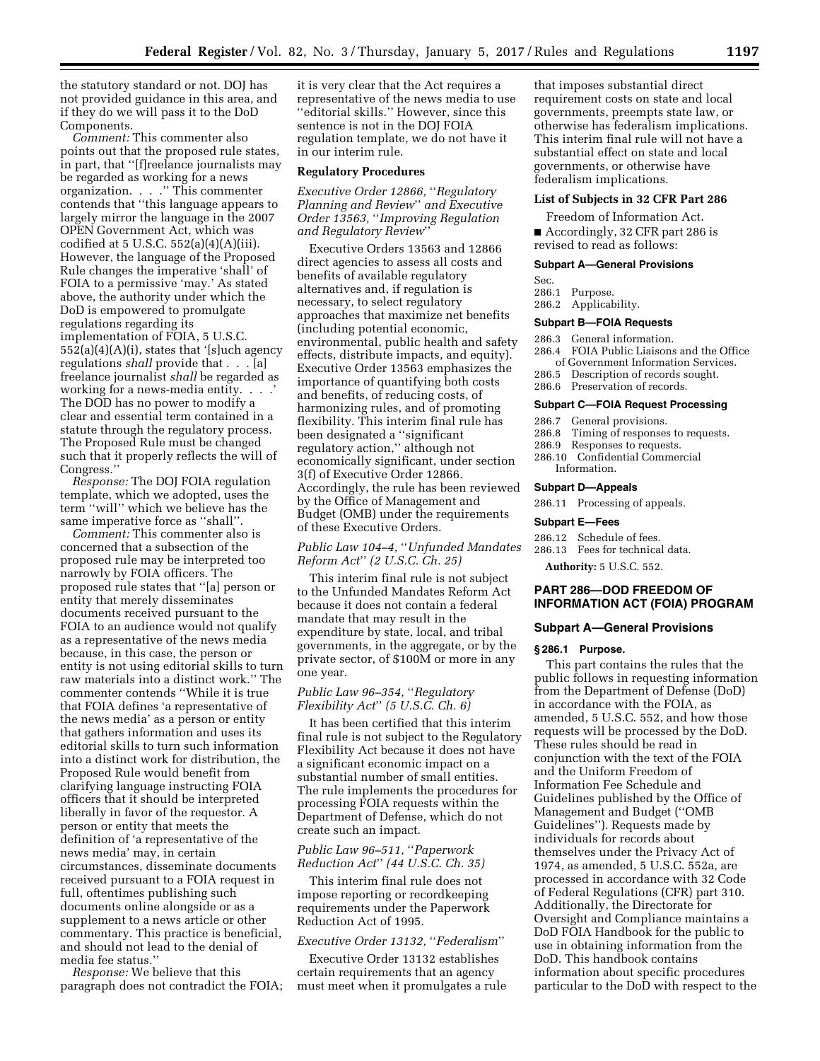the statutory standard or not. DOJ has not provided guidance in this area, and if they do we will pass it to the DoD Components.

*Comment:* This commenter also points out that the proposed rule states, in part, that ''[f]reelance journalists may be regarded as working for a news organization. . . .'' This commenter contends that ''this language appears to largely mirror the language in the 2007 OPEN Government Act, which was codified at  $5$  U.S.C.  $552(a)(4)(A)(iii)$ . However, the language of the Proposed Rule changes the imperative 'shall' of FOIA to a permissive 'may.' As stated above, the authority under which the DoD is empowered to promulgate regulations regarding its implementation of FOIA, 5 U.S.C. 552(a)(4)(A)(i), states that '[s]uch agency regulations *shall* provide that . . . [a] freelance journalist *shall* be regarded as working for a news-media entity. . . .' The DOD has no power to modify a clear and essential term contained in a statute through the regulatory process. The Proposed Rule must be changed such that it properly reflects the will of Congress.''

*Response:* The DOJ FOIA regulation template, which we adopted, uses the term ''will'' which we believe has the same imperative force as ''shall''.

*Comment:* This commenter also is concerned that a subsection of the proposed rule may be interpreted too narrowly by FOIA officers. The proposed rule states that ''[a] person or entity that merely disseminates documents received pursuant to the FOIA to an audience would not qualify as a representative of the news media because, in this case, the person or entity is not using editorial skills to turn raw materials into a distinct work.'' The commenter contends ''While it is true that FOIA defines 'a representative of the news media' as a person or entity that gathers information and uses its editorial skills to turn such information into a distinct work for distribution, the Proposed Rule would benefit from clarifying language instructing FOIA officers that it should be interpreted liberally in favor of the requestor. A person or entity that meets the definition of 'a representative of the news media' may, in certain circumstances, disseminate documents received pursuant to a FOIA request in full, oftentimes publishing such documents online alongside or as a supplement to a news article or other commentary. This practice is beneficial, and should not lead to the denial of media fee status.''

*Response:* We believe that this paragraph does not contradict the FOIA; it is very clear that the Act requires a representative of the news media to use ''editorial skills.'' However, since this sentence is not in the DOJ FOIA regulation template, we do not have it in our interim rule.

#### **Regulatory Procedures**

*Executive Order 12866,* ''*Regulatory Planning and Review*'' *and Executive Order 13563,* ''*Improving Regulation and Regulatory Review*''

Executive Orders 13563 and 12866 direct agencies to assess all costs and benefits of available regulatory alternatives and, if regulation is necessary, to select regulatory approaches that maximize net benefits (including potential economic, environmental, public health and safety effects, distribute impacts, and equity). Executive Order 13563 emphasizes the importance of quantifying both costs and benefits, of reducing costs, of harmonizing rules, and of promoting flexibility. This interim final rule has been designated a ''significant regulatory action,'' although not economically significant, under section 3(f) of Executive Order 12866. Accordingly, the rule has been reviewed by the Office of Management and Budget (OMB) under the requirements of these Executive Orders.

## *Public Law 104–4,* ''*Unfunded Mandates Reform Act*'' *(2 U.S.C. Ch. 25)*

This interim final rule is not subject to the Unfunded Mandates Reform Act because it does not contain a federal mandate that may result in the expenditure by state, local, and tribal governments, in the aggregate, or by the private sector, of \$100M or more in any one year.

## *Public Law 96–354,* ''*Regulatory Flexibility Act*'' *(5 U.S.C. Ch. 6)*

It has been certified that this interim final rule is not subject to the Regulatory Flexibility Act because it does not have a significant economic impact on a substantial number of small entities. The rule implements the procedures for processing FOIA requests within the Department of Defense, which do not create such an impact.

### *Public Law 96–511,* ''*Paperwork Reduction Act*'' *(44 U.S.C. Ch. 35)*

This interim final rule does not impose reporting or recordkeeping requirements under the Paperwork Reduction Act of 1995.

## *Executive Order 13132,* ''*Federalism*''

Executive Order 13132 establishes certain requirements that an agency must meet when it promulgates a rule

that imposes substantial direct requirement costs on state and local governments, preempts state law, or otherwise has federalism implications. This interim final rule will not have a substantial effect on state and local governments, or otherwise have federalism implications.

#### **List of Subjects in 32 CFR Part 286**

Freedom of Information Act.

■ Accordingly, 32 CFR part 286 is revised to read as follows:

### **Subpart A—General Provisions**

- Sec.
- 286.1 Purpose.
- 286.2 Applicability.

### **Subpart B—FOIA Requests**

- 286.3 General information.
- 286.4 FOIA Public Liaisons and the Office of Government Information Services.
- 286.5 Description of records sought.
- 286.6 Preservation of records.

#### **Subpart C—FOIA Request Processing**

- 286.7 General provisions.
- 286.8 Timing of responses to requests.<br>286.9 Responses to requests.
- Responses to requests.
- 286.10 Confidential Commercial Information.

#### **Subpart D—Appeals**

286.11 Processing of appeals.

#### **Subpart E—Fees**

- 286.12 Schedule of fees.
- 286.13 Fees for technical data.

**Authority:** 5 U.S.C. 552.

## **PART 286—DOD FREEDOM OF INFORMATION ACT (FOIA) PROGRAM**

### **Subpart A—General Provisions**

#### **§ 286.1 Purpose.**

This part contains the rules that the public follows in requesting information from the Department of Defense (DoD) in accordance with the FOIA, as amended, 5 U.S.C. 552, and how those requests will be processed by the DoD. These rules should be read in conjunction with the text of the FOIA and the Uniform Freedom of Information Fee Schedule and Guidelines published by the Office of Management and Budget (''OMB Guidelines''). Requests made by individuals for records about themselves under the Privacy Act of 1974, as amended, 5 U.S.C. 552a, are processed in accordance with 32 Code of Federal Regulations (CFR) part 310. Additionally, the Directorate for Oversight and Compliance maintains a DoD FOIA Handbook for the public to use in obtaining information from the DoD. This handbook contains information about specific procedures particular to the DoD with respect to the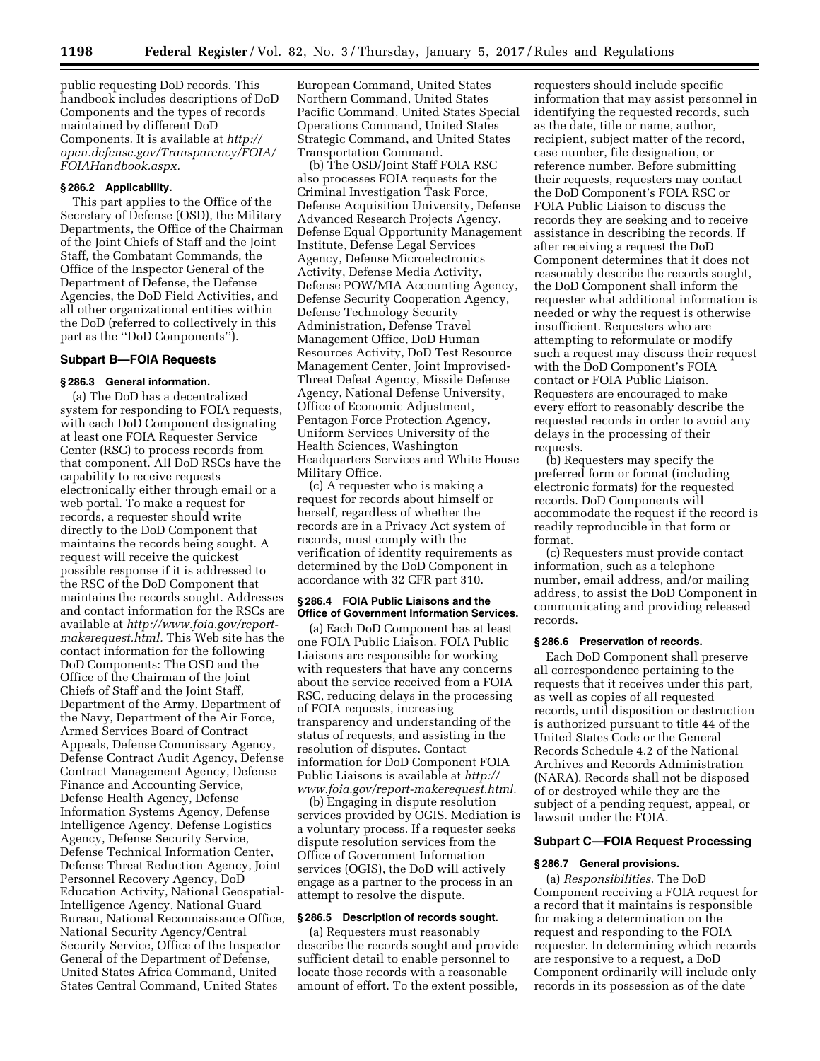public requesting DoD records. This handbook includes descriptions of DoD Components and the types of records maintained by different DoD Components. It is available at *[http://](http://open.defense.gov/Transparency/FOIA/FOIAHandbook.aspx) [open.defense.gov/Transparency/FOIA/](http://open.defense.gov/Transparency/FOIA/FOIAHandbook.aspx) [FOIAHandbook.aspx.](http://open.defense.gov/Transparency/FOIA/FOIAHandbook.aspx)* 

#### **§ 286.2 Applicability.**

This part applies to the Office of the Secretary of Defense (OSD), the Military Departments, the Office of the Chairman of the Joint Chiefs of Staff and the Joint Staff, the Combatant Commands, the Office of the Inspector General of the Department of Defense, the Defense Agencies, the DoD Field Activities, and all other organizational entities within the DoD (referred to collectively in this part as the ''DoD Components'').

# **Subpart B—FOIA Requests**

## **§ 286.3 General information.**

(a) The DoD has a decentralized system for responding to FOIA requests, with each DoD Component designating at least one FOIA Requester Service Center (RSC) to process records from that component. All DoD RSCs have the capability to receive requests electronically either through email or a web portal. To make a request for records, a requester should write directly to the DoD Component that maintains the records being sought. A request will receive the quickest possible response if it is addressed to the RSC of the DoD Component that maintains the records sought. Addresses and contact information for the RSCs are available at *[http://www.foia.gov/report](http://www.foia.gov/report-makerequest.html)[makerequest.html.](http://www.foia.gov/report-makerequest.html)* This Web site has the contact information for the following DoD Components: The OSD and the Office of the Chairman of the Joint Chiefs of Staff and the Joint Staff, Department of the Army, Department of the Navy, Department of the Air Force, Armed Services Board of Contract Appeals, Defense Commissary Agency, Defense Contract Audit Agency, Defense Contract Management Agency, Defense Finance and Accounting Service, Defense Health Agency, Defense Information Systems Agency, Defense Intelligence Agency, Defense Logistics Agency, Defense Security Service, Defense Technical Information Center, Defense Threat Reduction Agency, Joint Personnel Recovery Agency, DoD Education Activity, National Geospatial-Intelligence Agency, National Guard Bureau, National Reconnaissance Office, National Security Agency/Central Security Service, Office of the Inspector General of the Department of Defense, United States Africa Command, United States Central Command, United States

European Command, United States Northern Command, United States Pacific Command, United States Special Operations Command, United States Strategic Command, and United States Transportation Command.

(b) The OSD/Joint Staff FOIA RSC also processes FOIA requests for the Criminal Investigation Task Force, Defense Acquisition University, Defense Advanced Research Projects Agency, Defense Equal Opportunity Management Institute, Defense Legal Services Agency, Defense Microelectronics Activity, Defense Media Activity, Defense POW/MIA Accounting Agency, Defense Security Cooperation Agency, Defense Technology Security Administration, Defense Travel Management Office, DoD Human Resources Activity, DoD Test Resource Management Center, Joint Improvised-Threat Defeat Agency, Missile Defense Agency, National Defense University, Office of Economic Adjustment, Pentagon Force Protection Agency, Uniform Services University of the Health Sciences, Washington Headquarters Services and White House Military Office.

(c) A requester who is making a request for records about himself or herself, regardless of whether the records are in a Privacy Act system of records, must comply with the verification of identity requirements as determined by the DoD Component in accordance with 32 CFR part 310.

#### **§ 286.4 FOIA Public Liaisons and the Office of Government Information Services.**

(a) Each DoD Component has at least one FOIA Public Liaison. FOIA Public Liaisons are responsible for working with requesters that have any concerns about the service received from a FOIA RSC, reducing delays in the processing of FOIA requests, increasing transparency and understanding of the status of requests, and assisting in the resolution of disputes. Contact information for DoD Component FOIA Public Liaisons is available at *[http://](http://www.foia.gov/report-makerequest.html) [www.foia.gov/report-makerequest.html.](http://www.foia.gov/report-makerequest.html)* 

(b) Engaging in dispute resolution services provided by OGIS. Mediation is a voluntary process. If a requester seeks dispute resolution services from the Office of Government Information services (OGIS), the DoD will actively engage as a partner to the process in an attempt to resolve the dispute.

#### **§ 286.5 Description of records sought.**

(a) Requesters must reasonably describe the records sought and provide sufficient detail to enable personnel to locate those records with a reasonable amount of effort. To the extent possible,

requesters should include specific information that may assist personnel in identifying the requested records, such as the date, title or name, author, recipient, subject matter of the record, case number, file designation, or reference number. Before submitting their requests, requesters may contact the DoD Component's FOIA RSC or FOIA Public Liaison to discuss the records they are seeking and to receive assistance in describing the records. If after receiving a request the DoD Component determines that it does not reasonably describe the records sought, the DoD Component shall inform the requester what additional information is needed or why the request is otherwise insufficient. Requesters who are attempting to reformulate or modify such a request may discuss their request with the DoD Component's FOIA contact or FOIA Public Liaison. Requesters are encouraged to make every effort to reasonably describe the requested records in order to avoid any delays in the processing of their requests.

(b) Requesters may specify the preferred form or format (including electronic formats) for the requested records. DoD Components will accommodate the request if the record is readily reproducible in that form or format.

(c) Requesters must provide contact information, such as a telephone number, email address, and/or mailing address, to assist the DoD Component in communicating and providing released records.

#### **§ 286.6 Preservation of records.**

Each DoD Component shall preserve all correspondence pertaining to the requests that it receives under this part, as well as copies of all requested records, until disposition or destruction is authorized pursuant to title 44 of the United States Code or the General Records Schedule 4.2 of the National Archives and Records Administration (NARA). Records shall not be disposed of or destroyed while they are the subject of a pending request, appeal, or lawsuit under the FOIA.

#### **Subpart C—FOIA Request Processing**

### **§ 286.7 General provisions.**

(a) *Responsibilities.* The DoD Component receiving a FOIA request for a record that it maintains is responsible for making a determination on the request and responding to the FOIA requester. In determining which records are responsive to a request, a DoD Component ordinarily will include only records in its possession as of the date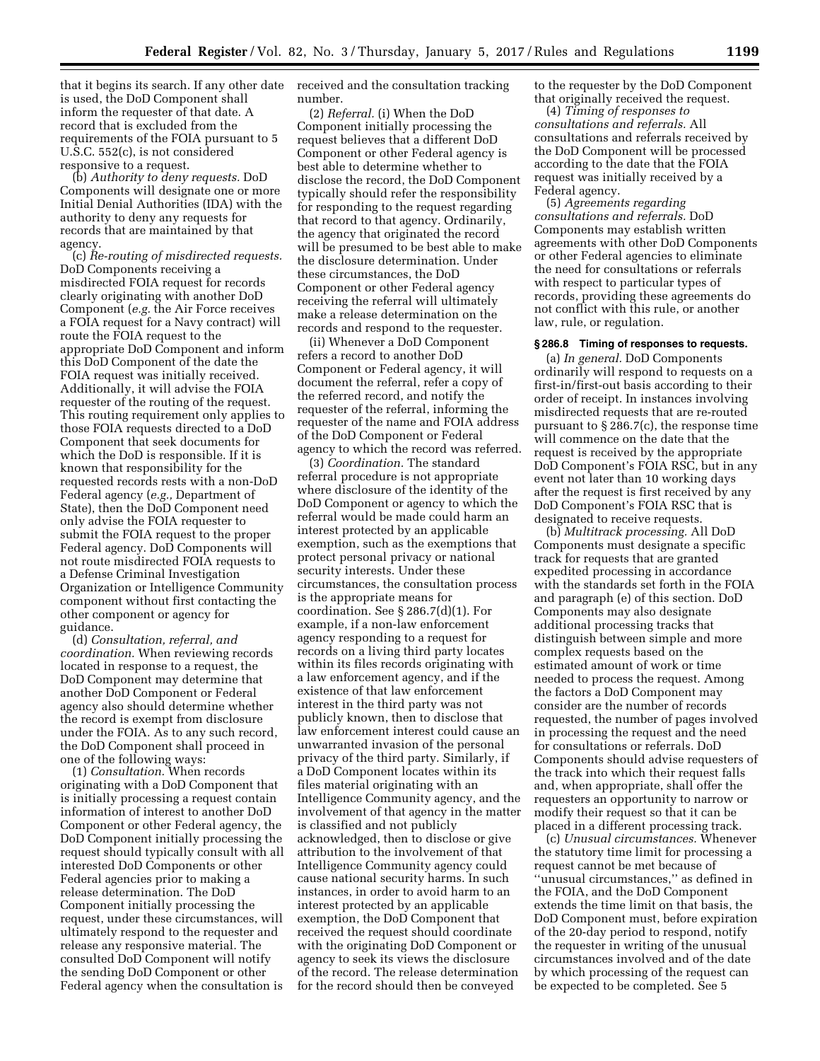that it begins its search. If any other date is used, the DoD Component shall inform the requester of that date. A record that is excluded from the requirements of the FOIA pursuant to 5 U.S.C. 552(c), is not considered responsive to a request.

(b) *Authority to deny requests.* DoD Components will designate one or more Initial Denial Authorities (IDA) with the authority to deny any requests for records that are maintained by that agency.

(c) *Re-routing of misdirected requests.*  DoD Components receiving a misdirected FOIA request for records clearly originating with another DoD Component (*e.g.* the Air Force receives a FOIA request for a Navy contract) will route the FOIA request to the appropriate DoD Component and inform this DoD Component of the date the FOIA request was initially received. Additionally, it will advise the FOIA requester of the routing of the request. This routing requirement only applies to those FOIA requests directed to a DoD Component that seek documents for which the DoD is responsible. If it is known that responsibility for the requested records rests with a non-DoD Federal agency (*e.g.,* Department of State), then the DoD Component need only advise the FOIA requester to submit the FOIA request to the proper Federal agency. DoD Components will not route misdirected FOIA requests to a Defense Criminal Investigation Organization or Intelligence Community component without first contacting the other component or agency for guidance.

(d) *Consultation, referral, and coordination.* When reviewing records located in response to a request, the DoD Component may determine that another DoD Component or Federal agency also should determine whether the record is exempt from disclosure under the FOIA. As to any such record, the DoD Component shall proceed in one of the following ways:

(1) *Consultation.* When records originating with a DoD Component that is initially processing a request contain information of interest to another DoD Component or other Federal agency, the DoD Component initially processing the request should typically consult with all interested DoD Components or other Federal agencies prior to making a release determination. The DoD Component initially processing the request, under these circumstances, will ultimately respond to the requester and release any responsive material. The consulted DoD Component will notify the sending DoD Component or other Federal agency when the consultation is

received and the consultation tracking number.

(2) *Referral.* (i) When the DoD Component initially processing the request believes that a different DoD Component or other Federal agency is best able to determine whether to disclose the record, the DoD Component typically should refer the responsibility for responding to the request regarding that record to that agency. Ordinarily, the agency that originated the record will be presumed to be best able to make the disclosure determination. Under these circumstances, the DoD Component or other Federal agency receiving the referral will ultimately make a release determination on the records and respond to the requester.

(ii) Whenever a DoD Component refers a record to another DoD Component or Federal agency, it will document the referral, refer a copy of the referred record, and notify the requester of the referral, informing the requester of the name and FOIA address of the DoD Component or Federal agency to which the record was referred.

(3) *Coordination.* The standard referral procedure is not appropriate where disclosure of the identity of the DoD Component or agency to which the referral would be made could harm an interest protected by an applicable exemption, such as the exemptions that protect personal privacy or national security interests. Under these circumstances, the consultation process is the appropriate means for coordination. See § 286.7(d)(1). For example, if a non-law enforcement agency responding to a request for records on a living third party locates within its files records originating with a law enforcement agency, and if the existence of that law enforcement interest in the third party was not publicly known, then to disclose that law enforcement interest could cause an unwarranted invasion of the personal privacy of the third party. Similarly, if a DoD Component locates within its files material originating with an Intelligence Community agency, and the involvement of that agency in the matter is classified and not publicly acknowledged, then to disclose or give attribution to the involvement of that Intelligence Community agency could cause national security harms. In such instances, in order to avoid harm to an interest protected by an applicable exemption, the DoD Component that received the request should coordinate with the originating DoD Component or agency to seek its views the disclosure of the record. The release determination for the record should then be conveyed

to the requester by the DoD Component that originally received the request.

(4) *Timing of responses to consultations and referrals.* All consultations and referrals received by the DoD Component will be processed according to the date that the FOIA request was initially received by a Federal agency.

(5) *Agreements regarding consultations and referrals.* DoD Components may establish written agreements with other DoD Components or other Federal agencies to eliminate the need for consultations or referrals with respect to particular types of records, providing these agreements do not conflict with this rule, or another law, rule, or regulation.

# **§ 286.8 Timing of responses to requests.**

(a) *In general.* DoD Components ordinarily will respond to requests on a first-in/first-out basis according to their order of receipt. In instances involving misdirected requests that are re-routed pursuant to § 286.7(c), the response time will commence on the date that the request is received by the appropriate DoD Component's FOIA RSC, but in any event not later than 10 working days after the request is first received by any DoD Component's FOIA RSC that is designated to receive requests.

(b) *Multitrack processing.* All DoD Components must designate a specific track for requests that are granted expedited processing in accordance with the standards set forth in the FOIA and paragraph (e) of this section. DoD Components may also designate additional processing tracks that distinguish between simple and more complex requests based on the estimated amount of work or time needed to process the request. Among the factors a DoD Component may consider are the number of records requested, the number of pages involved in processing the request and the need for consultations or referrals. DoD Components should advise requesters of the track into which their request falls and, when appropriate, shall offer the requesters an opportunity to narrow or modify their request so that it can be placed in a different processing track.

(c) *Unusual circumstances.* Whenever the statutory time limit for processing a request cannot be met because of ''unusual circumstances,'' as defined in the FOIA, and the DoD Component extends the time limit on that basis, the DoD Component must, before expiration of the 20-day period to respond, notify the requester in writing of the unusual circumstances involved and of the date by which processing of the request can be expected to be completed. See 5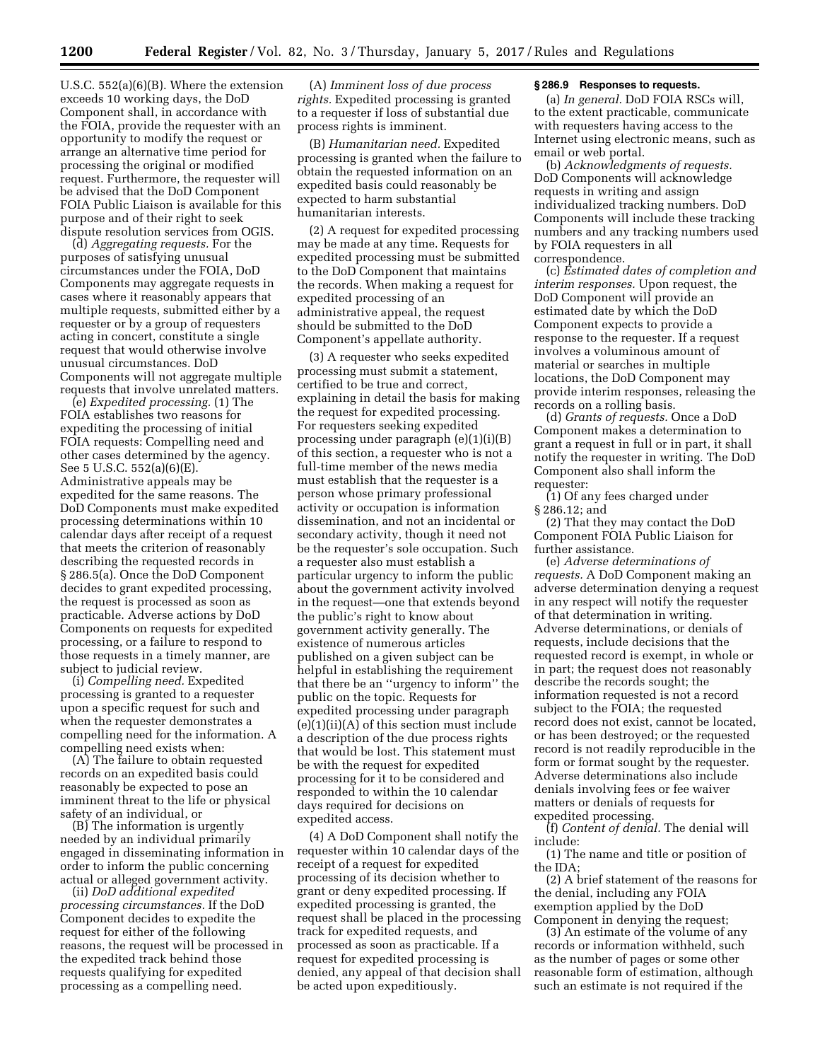U.S.C. 552(a)(6)(B). Where the extension exceeds 10 working days, the DoD Component shall, in accordance with the FOIA, provide the requester with an opportunity to modify the request or arrange an alternative time period for processing the original or modified request. Furthermore, the requester will be advised that the DoD Component FOIA Public Liaison is available for this purpose and of their right to seek dispute resolution services from OGIS.

(d) *Aggregating requests.* For the purposes of satisfying unusual circumstances under the FOIA, DoD Components may aggregate requests in cases where it reasonably appears that multiple requests, submitted either by a requester or by a group of requesters acting in concert, constitute a single request that would otherwise involve unusual circumstances. DoD Components will not aggregate multiple requests that involve unrelated matters.

(e) *Expedited processing.* (1) The FOIA establishes two reasons for expediting the processing of initial FOIA requests: Compelling need and other cases determined by the agency. See 5 U.S.C. 552(a)(6)(E). Administrative appeals may be expedited for the same reasons. The DoD Components must make expedited processing determinations within 10 calendar days after receipt of a request that meets the criterion of reasonably describing the requested records in § 286.5(a). Once the DoD Component decides to grant expedited processing, the request is processed as soon as practicable. Adverse actions by DoD Components on requests for expedited processing, or a failure to respond to those requests in a timely manner, are subject to judicial review.

(i) *Compelling need.* Expedited processing is granted to a requester upon a specific request for such and when the requester demonstrates a compelling need for the information. A compelling need exists when:

(A) The failure to obtain requested records on an expedited basis could reasonably be expected to pose an imminent threat to the life or physical safety of an individual, or

(B) The information is urgently needed by an individual primarily engaged in disseminating information in order to inform the public concerning actual or alleged government activity.

(ii) *DoD additional expedited processing circumstances.* If the DoD Component decides to expedite the request for either of the following reasons, the request will be processed in the expedited track behind those requests qualifying for expedited processing as a compelling need.

(A) *Imminent loss of due process rights.* Expedited processing is granted to a requester if loss of substantial due process rights is imminent.

(B) *Humanitarian need.* Expedited processing is granted when the failure to obtain the requested information on an expedited basis could reasonably be expected to harm substantial humanitarian interests.

(2) A request for expedited processing may be made at any time. Requests for expedited processing must be submitted to the DoD Component that maintains the records. When making a request for expedited processing of an administrative appeal, the request should be submitted to the DoD Component's appellate authority.

(3) A requester who seeks expedited processing must submit a statement, certified to be true and correct, explaining in detail the basis for making the request for expedited processing. For requesters seeking expedited processing under paragraph (e)(1)(i)(B) of this section, a requester who is not a full-time member of the news media must establish that the requester is a person whose primary professional activity or occupation is information dissemination, and not an incidental or secondary activity, though it need not be the requester's sole occupation. Such a requester also must establish a particular urgency to inform the public about the government activity involved in the request—one that extends beyond the public's right to know about government activity generally. The existence of numerous articles published on a given subject can be helpful in establishing the requirement that there be an ''urgency to inform'' the public on the topic. Requests for expedited processing under paragraph  $(e)(1)(ii)(A)$  of this section must include a description of the due process rights that would be lost. This statement must be with the request for expedited processing for it to be considered and responded to within the 10 calendar days required for decisions on expedited access.

(4) A DoD Component shall notify the requester within 10 calendar days of the receipt of a request for expedited processing of its decision whether to grant or deny expedited processing. If expedited processing is granted, the request shall be placed in the processing track for expedited requests, and processed as soon as practicable. If a request for expedited processing is denied, any appeal of that decision shall be acted upon expeditiously.

### **§ 286.9 Responses to requests.**

(a) *In general.* DoD FOIA RSCs will, to the extent practicable, communicate with requesters having access to the Internet using electronic means, such as email or web portal.

(b) *Acknowledgments of requests.*  DoD Components will acknowledge requests in writing and assign individualized tracking numbers. DoD Components will include these tracking numbers and any tracking numbers used by FOIA requesters in all correspondence.

(c) *Estimated dates of completion and interim responses.* Upon request, the DoD Component will provide an estimated date by which the DoD Component expects to provide a response to the requester. If a request involves a voluminous amount of material or searches in multiple locations, the DoD Component may provide interim responses, releasing the records on a rolling basis.

(d) *Grants of requests.* Once a DoD Component makes a determination to grant a request in full or in part, it shall notify the requester in writing. The DoD Component also shall inform the requester:

(1) Of any fees charged under § 286.12; and

(2) That they may contact the DoD Component FOIA Public Liaison for further assistance.

(e) *Adverse determinations of requests.* A DoD Component making an adverse determination denying a request in any respect will notify the requester of that determination in writing. Adverse determinations, or denials of requests, include decisions that the requested record is exempt, in whole or in part; the request does not reasonably describe the records sought; the information requested is not a record subject to the FOIA; the requested record does not exist, cannot be located, or has been destroyed; or the requested record is not readily reproducible in the form or format sought by the requester. Adverse determinations also include denials involving fees or fee waiver matters or denials of requests for expedited processing.

(f) *Content of denial.* The denial will include:

(1) The name and title or position of the  $\text{IDA}$ 

(2) A brief statement of the reasons for the denial, including any FOIA exemption applied by the DoD Component in denying the request;

(3) An estimate of the volume of any records or information withheld, such as the number of pages or some other reasonable form of estimation, although such an estimate is not required if the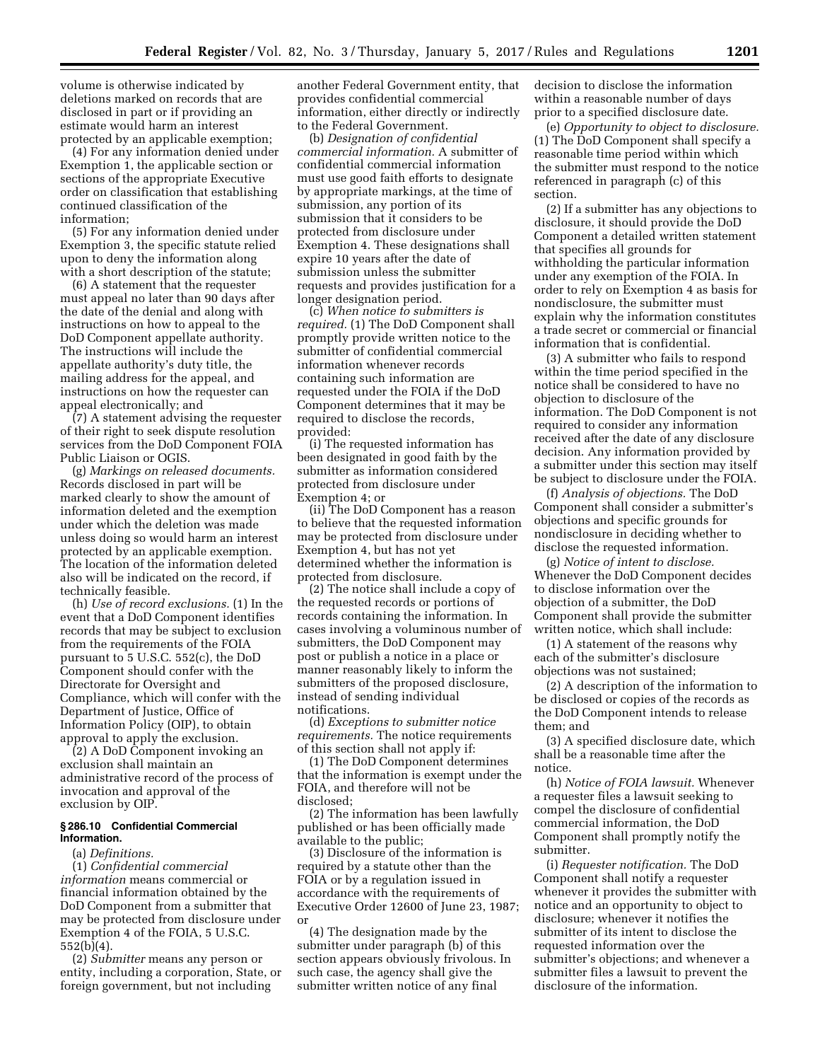volume is otherwise indicated by deletions marked on records that are disclosed in part or if providing an estimate would harm an interest protected by an applicable exemption;

(4) For any information denied under Exemption 1, the applicable section or sections of the appropriate Executive order on classification that establishing continued classification of the information;

(5) For any information denied under Exemption 3, the specific statute relied upon to deny the information along with a short description of the statute;

(6) A statement that the requester must appeal no later than 90 days after the date of the denial and along with instructions on how to appeal to the DoD Component appellate authority. The instructions will include the appellate authority's duty title, the mailing address for the appeal, and instructions on how the requester can appeal electronically; and

(7) A statement advising the requester of their right to seek dispute resolution services from the DoD Component FOIA Public Liaison or OGIS.

(g) *Markings on released documents.*  Records disclosed in part will be marked clearly to show the amount of information deleted and the exemption under which the deletion was made unless doing so would harm an interest protected by an applicable exemption. The location of the information deleted also will be indicated on the record, if technically feasible.

(h) *Use of record exclusions.* (1) In the event that a DoD Component identifies records that may be subject to exclusion from the requirements of the FOIA pursuant to 5 U.S.C. 552(c), the DoD Component should confer with the Directorate for Oversight and Compliance, which will confer with the Department of Justice, Office of Information Policy (OIP), to obtain approval to apply the exclusion.

(2) A DoD Component invoking an exclusion shall maintain an administrative record of the process of invocation and approval of the exclusion by OIP.

### **§ 286.10 Confidential Commercial Information.**

(a) *Definitions.* 

(1) *Confidential commercial information* means commercial or financial information obtained by the DoD Component from a submitter that may be protected from disclosure under Exemption 4 of the FOIA, 5 U.S.C. 552(b)(4).

(2) *Submitter* means any person or entity, including a corporation, State, or foreign government, but not including

another Federal Government entity, that provides confidential commercial information, either directly or indirectly to the Federal Government.

(b) *Designation of confidential commercial information.* A submitter of confidential commercial information must use good faith efforts to designate by appropriate markings, at the time of submission, any portion of its submission that it considers to be protected from disclosure under Exemption 4. These designations shall expire 10 years after the date of submission unless the submitter requests and provides justification for a longer designation period.

(c) *When notice to submitters is required.* (1) The DoD Component shall promptly provide written notice to the submitter of confidential commercial information whenever records containing such information are requested under the FOIA if the DoD Component determines that it may be required to disclose the records, provided:

(i) The requested information has been designated in good faith by the submitter as information considered protected from disclosure under Exemption 4; or

(ii) The DoD Component has a reason to believe that the requested information may be protected from disclosure under Exemption 4, but has not yet determined whether the information is protected from disclosure.

(2) The notice shall include a copy of the requested records or portions of records containing the information. In cases involving a voluminous number of submitters, the DoD Component may post or publish a notice in a place or manner reasonably likely to inform the submitters of the proposed disclosure, instead of sending individual notifications.

(d) *Exceptions to submitter notice requirements.* The notice requirements of this section shall not apply if:

(1) The DoD Component determines that the information is exempt under the FOIA, and therefore will not be disclosed;

(2) The information has been lawfully published or has been officially made available to the public;

(3) Disclosure of the information is required by a statute other than the FOIA or by a regulation issued in accordance with the requirements of Executive Order 12600 of June 23, 1987; or

(4) The designation made by the submitter under paragraph (b) of this section appears obviously frivolous. In such case, the agency shall give the submitter written notice of any final

decision to disclose the information within a reasonable number of days prior to a specified disclosure date.

(e) *Opportunity to object to disclosure.*  (1) The DoD Component shall specify a reasonable time period within which the submitter must respond to the notice referenced in paragraph (c) of this section.

(2) If a submitter has any objections to disclosure, it should provide the DoD Component a detailed written statement that specifies all grounds for withholding the particular information under any exemption of the FOIA. In order to rely on Exemption 4 as basis for nondisclosure, the submitter must explain why the information constitutes a trade secret or commercial or financial information that is confidential.

(3) A submitter who fails to respond within the time period specified in the notice shall be considered to have no objection to disclosure of the information. The DoD Component is not required to consider any information received after the date of any disclosure decision. Any information provided by a submitter under this section may itself be subject to disclosure under the FOIA.

(f) *Analysis of objections.* The DoD Component shall consider a submitter's objections and specific grounds for nondisclosure in deciding whether to disclose the requested information.

(g) *Notice of intent to disclose.*  Whenever the DoD Component decides to disclose information over the objection of a submitter, the DoD Component shall provide the submitter written notice, which shall include:

(1) A statement of the reasons why each of the submitter's disclosure objections was not sustained;

(2) A description of the information to be disclosed or copies of the records as the DoD Component intends to release them; and

(3) A specified disclosure date, which shall be a reasonable time after the notice.

(h) *Notice of FOIA lawsuit.* Whenever a requester files a lawsuit seeking to compel the disclosure of confidential commercial information, the DoD Component shall promptly notify the submitter.

(i) *Requester notification.* The DoD Component shall notify a requester whenever it provides the submitter with notice and an opportunity to object to disclosure; whenever it notifies the submitter of its intent to disclose the requested information over the submitter's objections; and whenever a submitter files a lawsuit to prevent the disclosure of the information.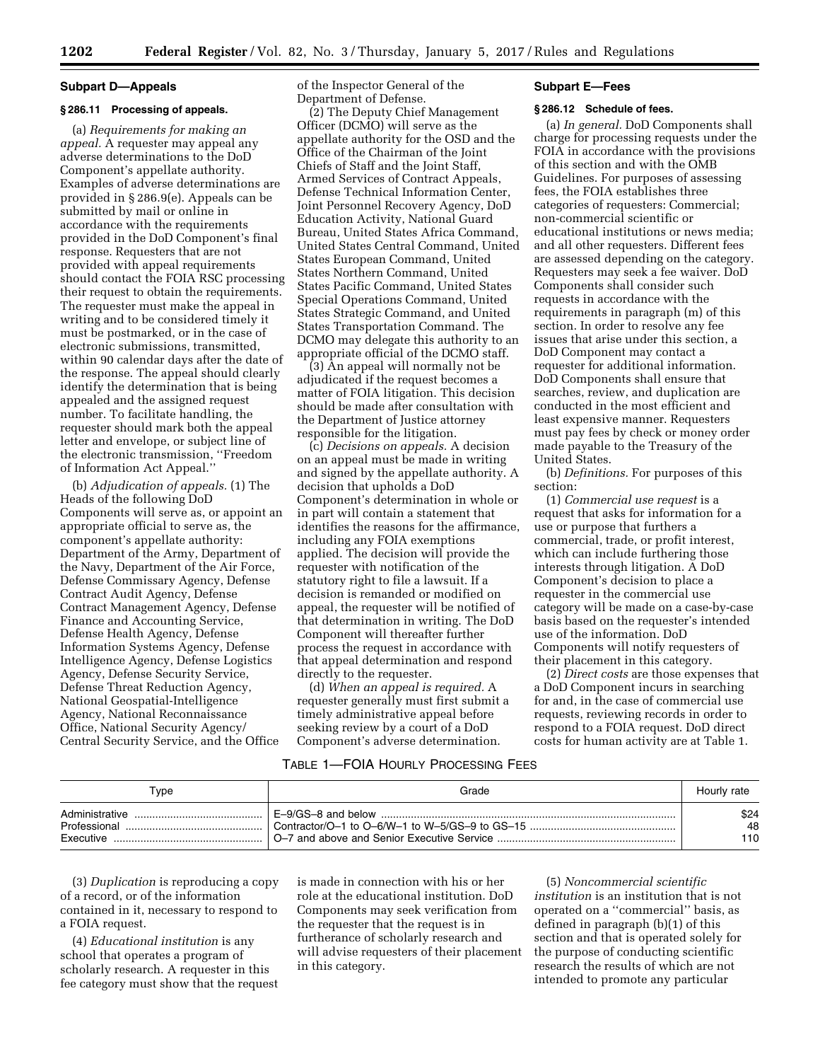#### **Subpart D—Appeals**

### **§ 286.11 Processing of appeals.**

(a) *Requirements for making an appeal.* A requester may appeal any adverse determinations to the DoD Component's appellate authority. Examples of adverse determinations are provided in § 286.9(e). Appeals can be submitted by mail or online in accordance with the requirements provided in the DoD Component's final response. Requesters that are not provided with appeal requirements should contact the FOIA RSC processing their request to obtain the requirements. The requester must make the appeal in writing and to be considered timely it must be postmarked, or in the case of electronic submissions, transmitted, within 90 calendar days after the date of the response. The appeal should clearly identify the determination that is being appealed and the assigned request number. To facilitate handling, the requester should mark both the appeal letter and envelope, or subject line of the electronic transmission, ''Freedom of Information Act Appeal.''

(b) *Adjudication of appeals.* (1) The Heads of the following DoD Components will serve as, or appoint an appropriate official to serve as, the component's appellate authority: Department of the Army, Department of the Navy, Department of the Air Force, Defense Commissary Agency, Defense Contract Audit Agency, Defense Contract Management Agency, Defense Finance and Accounting Service, Defense Health Agency, Defense Information Systems Agency, Defense Intelligence Agency, Defense Logistics Agency, Defense Security Service, Defense Threat Reduction Agency, National Geospatial-Intelligence Agency, National Reconnaissance Office, National Security Agency/ Central Security Service, and the Office

of the Inspector General of the Department of Defense.

(2) The Deputy Chief Management Officer (DCMO) will serve as the appellate authority for the OSD and the Office of the Chairman of the Joint Chiefs of Staff and the Joint Staff, Armed Services of Contract Appeals, Defense Technical Information Center, Joint Personnel Recovery Agency, DoD Education Activity, National Guard Bureau, United States Africa Command, United States Central Command, United States European Command, United States Northern Command, United States Pacific Command, United States Special Operations Command, United States Strategic Command, and United States Transportation Command. The DCMO may delegate this authority to an appropriate official of the DCMO staff.

(3) An appeal will normally not be adjudicated if the request becomes a matter of FOIA litigation. This decision should be made after consultation with the Department of Justice attorney responsible for the litigation.

(c) *Decisions on appeals.* A decision on an appeal must be made in writing and signed by the appellate authority. A decision that upholds a DoD Component's determination in whole or in part will contain a statement that identifies the reasons for the affirmance, including any FOIA exemptions applied. The decision will provide the requester with notification of the statutory right to file a lawsuit. If a decision is remanded or modified on appeal, the requester will be notified of that determination in writing. The DoD Component will thereafter further process the request in accordance with that appeal determination and respond directly to the requester.

(d) *When an appeal is required.* A requester generally must first submit a timely administrative appeal before seeking review by a court of a DoD Component's adverse determination.

#### **Subpart E—Fees**

## **§ 286.12 Schedule of fees.**

(a) *In general.* DoD Components shall charge for processing requests under the FOIA in accordance with the provisions of this section and with the OMB Guidelines. For purposes of assessing fees, the FOIA establishes three categories of requesters: Commercial; non-commercial scientific or educational institutions or news media; and all other requesters. Different fees are assessed depending on the category. Requesters may seek a fee waiver. DoD Components shall consider such requests in accordance with the requirements in paragraph (m) of this section. In order to resolve any fee issues that arise under this section, a DoD Component may contact a requester for additional information. DoD Components shall ensure that searches, review, and duplication are conducted in the most efficient and least expensive manner. Requesters must pay fees by check or money order made payable to the Treasury of the United States.

(b) *Definitions.* For purposes of this section:

(1) *Commercial use request* is a request that asks for information for a use or purpose that furthers a commercial, trade, or profit interest, which can include furthering those interests through litigation. A DoD Component's decision to place a requester in the commercial use category will be made on a case-by-case basis based on the requester's intended use of the information. DoD Components will notify requesters of their placement in this category.

(2) *Direct costs* are those expenses that a DoD Component incurs in searching for and, in the case of commercial use requests, reviewing records in order to respond to a FOIA request. DoD direct costs for human activity are at Table 1.

#### TABLE 1—FOIA HOURLY PROCESSING FEES

| Tvpe           | Grade | Hourly rate |
|----------------|-------|-------------|
| Administrative |       | \$24        |
| Professional   |       | 48          |
| Executive      |       | 110         |

(3) *Duplication* is reproducing a copy of a record, or of the information contained in it, necessary to respond to a FOIA request.

(4) *Educational institution* is any school that operates a program of scholarly research. A requester in this fee category must show that the request

is made in connection with his or her role at the educational institution. DoD Components may seek verification from the requester that the request is in furtherance of scholarly research and will advise requesters of their placement in this category.

(5) *Noncommercial scientific institution* is an institution that is not operated on a ''commercial'' basis, as defined in paragraph (b)(1) of this section and that is operated solely for the purpose of conducting scientific research the results of which are not intended to promote any particular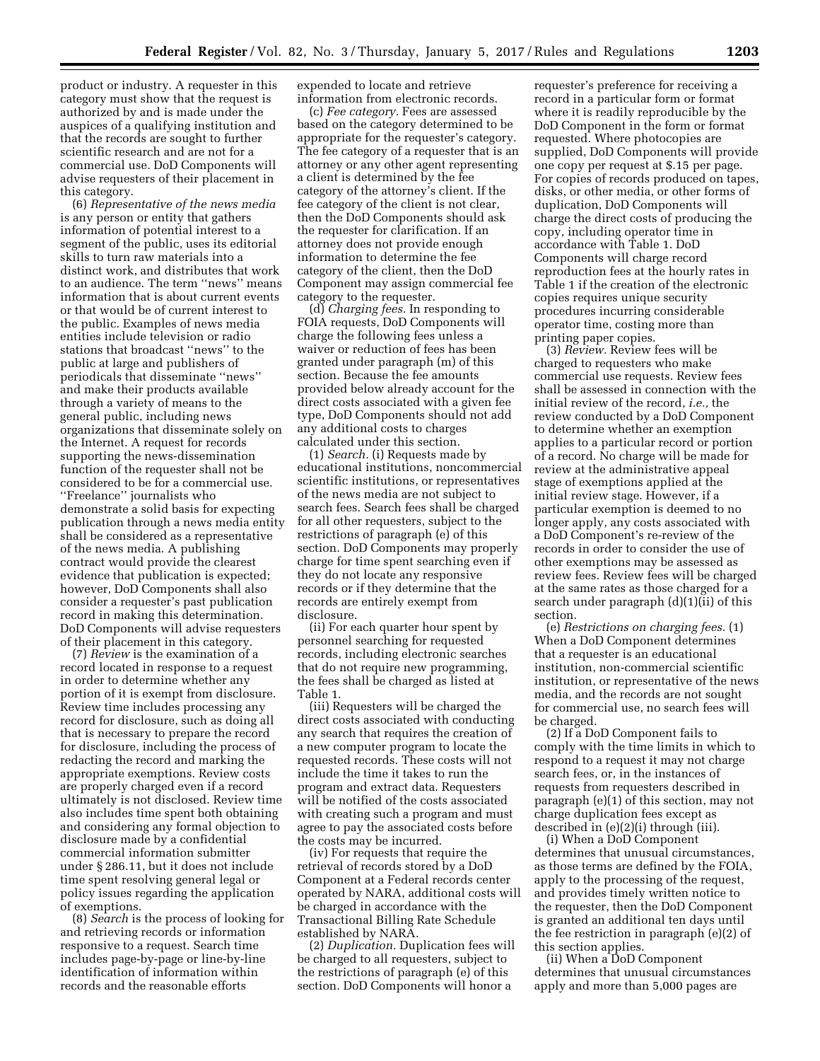product or industry. A requester in this category must show that the request is authorized by and is made under the auspices of a qualifying institution and that the records are sought to further scientific research and are not for a commercial use. DoD Components will advise requesters of their placement in this category.

(6) *Representative of the news media*  is any person or entity that gathers information of potential interest to a segment of the public, uses its editorial skills to turn raw materials into a distinct work, and distributes that work to an audience. The term ''news'' means information that is about current events or that would be of current interest to the public. Examples of news media entities include television or radio stations that broadcast ''news'' to the public at large and publishers of periodicals that disseminate ''news'' and make their products available through a variety of means to the general public, including news organizations that disseminate solely on the Internet. A request for records supporting the news-dissemination function of the requester shall not be considered to be for a commercial use. ''Freelance'' journalists who demonstrate a solid basis for expecting publication through a news media entity shall be considered as a representative of the news media. A publishing contract would provide the clearest evidence that publication is expected; however, DoD Components shall also consider a requester's past publication record in making this determination. DoD Components will advise requesters of their placement in this category.

(7) *Review* is the examination of a record located in response to a request in order to determine whether any portion of it is exempt from disclosure. Review time includes processing any record for disclosure, such as doing all that is necessary to prepare the record for disclosure, including the process of redacting the record and marking the appropriate exemptions. Review costs are properly charged even if a record ultimately is not disclosed. Review time also includes time spent both obtaining and considering any formal objection to disclosure made by a confidential commercial information submitter under § 286.11, but it does not include time spent resolving general legal or policy issues regarding the application of exemptions.

(8) *Search* is the process of looking for and retrieving records or information responsive to a request. Search time includes page-by-page or line-by-line identification of information within records and the reasonable efforts

expended to locate and retrieve information from electronic records.

(c) *Fee category.* Fees are assessed based on the category determined to be appropriate for the requester's category. The fee category of a requester that is an attorney or any other agent representing a client is determined by the fee category of the attorney's client. If the fee category of the client is not clear, then the DoD Components should ask the requester for clarification. If an attorney does not provide enough information to determine the fee category of the client, then the DoD Component may assign commercial fee category to the requester.

(d) *Charging fees.* In responding to FOIA requests, DoD Components will charge the following fees unless a waiver or reduction of fees has been granted under paragraph (m) of this section. Because the fee amounts provided below already account for the direct costs associated with a given fee type, DoD Components should not add any additional costs to charges calculated under this section.

(1) *Search.* (i) Requests made by educational institutions, noncommercial scientific institutions, or representatives of the news media are not subject to search fees. Search fees shall be charged for all other requesters, subject to the restrictions of paragraph (e) of this section. DoD Components may properly charge for time spent searching even if they do not locate any responsive records or if they determine that the records are entirely exempt from disclosure.

(ii) For each quarter hour spent by personnel searching for requested records, including electronic searches that do not require new programming, the fees shall be charged as listed at Table 1.

(iii) Requesters will be charged the direct costs associated with conducting any search that requires the creation of a new computer program to locate the requested records. These costs will not include the time it takes to run the program and extract data. Requesters will be notified of the costs associated with creating such a program and must agree to pay the associated costs before the costs may be incurred.

(iv) For requests that require the retrieval of records stored by a DoD Component at a Federal records center operated by NARA, additional costs will be charged in accordance with the Transactional Billing Rate Schedule established by NARA.

(2) *Duplication.* Duplication fees will be charged to all requesters, subject to the restrictions of paragraph (e) of this section. DoD Components will honor a

requester's preference for receiving a record in a particular form or format where it is readily reproducible by the DoD Component in the form or format requested. Where photocopies are supplied, DoD Components will provide one copy per request at \$.15 per page. For copies of records produced on tapes, disks, or other media, or other forms of duplication, DoD Components will charge the direct costs of producing the copy, including operator time in accordance with Table 1. DoD Components will charge record reproduction fees at the hourly rates in Table 1 if the creation of the electronic copies requires unique security procedures incurring considerable operator time, costing more than printing paper copies.

(3) *Review.* Review fees will be charged to requesters who make commercial use requests. Review fees shall be assessed in connection with the initial review of the record, *i.e.,* the review conducted by a DoD Component to determine whether an exemption applies to a particular record or portion of a record. No charge will be made for review at the administrative appeal stage of exemptions applied at the initial review stage. However, if a particular exemption is deemed to no longer apply, any costs associated with a DoD Component's re-review of the records in order to consider the use of other exemptions may be assessed as review fees. Review fees will be charged at the same rates as those charged for a search under paragraph (d)(1)(ii) of this section.

(e) *Restrictions on charging fees.* (1) When a DoD Component determines that a requester is an educational institution, non-commercial scientific institution, or representative of the news media, and the records are not sought for commercial use, no search fees will be charged.

(2) If a DoD Component fails to comply with the time limits in which to respond to a request it may not charge search fees, or, in the instances of requests from requesters described in paragraph (e)(1) of this section, may not charge duplication fees except as described in (e)(2)(i) through (iii).

(i) When a DoD Component determines that unusual circumstances, as those terms are defined by the FOIA, apply to the processing of the request, and provides timely written notice to the requester, then the DoD Component is granted an additional ten days until the fee restriction in paragraph (e)(2) of this section applies.

(ii) When a DoD Component determines that unusual circumstances apply and more than 5,000 pages are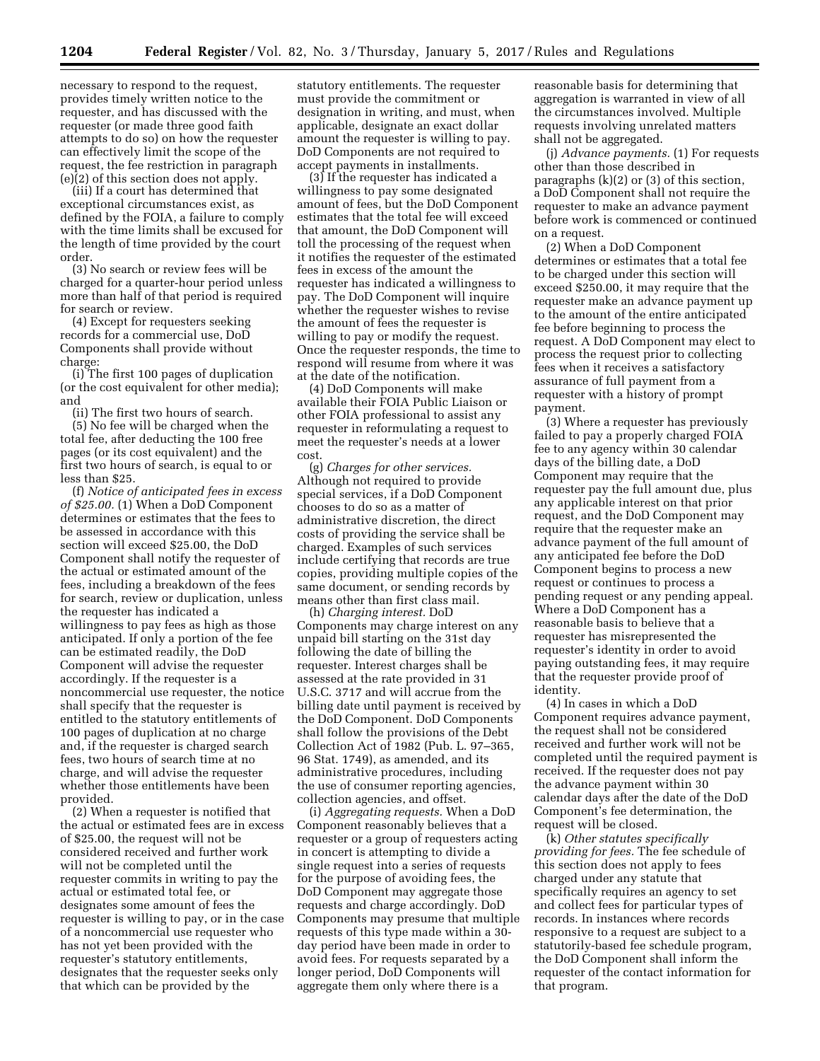necessary to respond to the request, provides timely written notice to the requester, and has discussed with the requester (or made three good faith attempts to do so) on how the requester can effectively limit the scope of the request, the fee restriction in paragraph (e)(2) of this section does not apply.

(iii) If a court has determined that exceptional circumstances exist, as defined by the FOIA, a failure to comply with the time limits shall be excused for the length of time provided by the court order.

(3) No search or review fees will be charged for a quarter-hour period unless more than half of that period is required for search or review.

(4) Except for requesters seeking records for a commercial use, DoD Components shall provide without charge:

(i) The first 100 pages of duplication (or the cost equivalent for other media); and

(ii) The first two hours of search.

(5) No fee will be charged when the total fee, after deducting the 100 free pages (or its cost equivalent) and the first two hours of search, is equal to or less than \$25.

(f) *Notice of anticipated fees in excess of \$25.00.* (1) When a DoD Component determines or estimates that the fees to be assessed in accordance with this section will exceed \$25.00, the DoD Component shall notify the requester of the actual or estimated amount of the fees, including a breakdown of the fees for search, review or duplication, unless the requester has indicated a willingness to pay fees as high as those anticipated. If only a portion of the fee can be estimated readily, the DoD Component will advise the requester accordingly. If the requester is a noncommercial use requester, the notice shall specify that the requester is entitled to the statutory entitlements of 100 pages of duplication at no charge and, if the requester is charged search fees, two hours of search time at no charge, and will advise the requester whether those entitlements have been provided.

(2) When a requester is notified that the actual or estimated fees are in excess of \$25.00, the request will not be considered received and further work will not be completed until the requester commits in writing to pay the actual or estimated total fee, or designates some amount of fees the requester is willing to pay, or in the case of a noncommercial use requester who has not yet been provided with the requester's statutory entitlements, designates that the requester seeks only that which can be provided by the

statutory entitlements. The requester must provide the commitment or designation in writing, and must, when applicable, designate an exact dollar amount the requester is willing to pay. DoD Components are not required to accept payments in installments.

(3) If the requester has indicated a willingness to pay some designated amount of fees, but the DoD Component estimates that the total fee will exceed that amount, the DoD Component will toll the processing of the request when it notifies the requester of the estimated fees in excess of the amount the requester has indicated a willingness to pay. The DoD Component will inquire whether the requester wishes to revise the amount of fees the requester is willing to pay or modify the request. Once the requester responds, the time to respond will resume from where it was at the date of the notification.

(4) DoD Components will make available their FOIA Public Liaison or other FOIA professional to assist any requester in reformulating a request to meet the requester's needs at a lower cost.

(g) *Charges for other services.*  Although not required to provide special services, if a DoD Component chooses to do so as a matter of administrative discretion, the direct costs of providing the service shall be charged. Examples of such services include certifying that records are true copies, providing multiple copies of the same document, or sending records by means other than first class mail.

(h) *Charging interest.* DoD Components may charge interest on any unpaid bill starting on the 31st day following the date of billing the requester. Interest charges shall be assessed at the rate provided in 31 U.S.C. 3717 and will accrue from the billing date until payment is received by the DoD Component. DoD Components shall follow the provisions of the Debt Collection Act of 1982 (Pub. L. 97–365, 96 Stat. 1749), as amended, and its administrative procedures, including the use of consumer reporting agencies, collection agencies, and offset.

(i) *Aggregating requests.* When a DoD Component reasonably believes that a requester or a group of requesters acting in concert is attempting to divide a single request into a series of requests for the purpose of avoiding fees, the DoD Component may aggregate those requests and charge accordingly. DoD Components may presume that multiple requests of this type made within a 30 day period have been made in order to avoid fees. For requests separated by a longer period, DoD Components will aggregate them only where there is a

reasonable basis for determining that aggregation is warranted in view of all the circumstances involved. Multiple requests involving unrelated matters shall not be aggregated.

(j) *Advance payments.* (1) For requests other than those described in paragraphs (k)(2) or (3) of this section, a DoD Component shall not require the requester to make an advance payment before work is commenced or continued on a request.

(2) When a DoD Component determines or estimates that a total fee to be charged under this section will exceed \$250.00, it may require that the requester make an advance payment up to the amount of the entire anticipated fee before beginning to process the request. A DoD Component may elect to process the request prior to collecting fees when it receives a satisfactory assurance of full payment from a requester with a history of prompt payment.

(3) Where a requester has previously failed to pay a properly charged FOIA fee to any agency within 30 calendar days of the billing date, a DoD Component may require that the requester pay the full amount due, plus any applicable interest on that prior request, and the DoD Component may require that the requester make an advance payment of the full amount of any anticipated fee before the DoD Component begins to process a new request or continues to process a pending request or any pending appeal. Where a DoD Component has a reasonable basis to believe that a requester has misrepresented the requester's identity in order to avoid paying outstanding fees, it may require that the requester provide proof of identity.

(4) In cases in which a DoD Component requires advance payment, the request shall not be considered received and further work will not be completed until the required payment is received. If the requester does not pay the advance payment within 30 calendar days after the date of the DoD Component's fee determination, the request will be closed.

(k) *Other statutes specifically providing for fees.* The fee schedule of this section does not apply to fees charged under any statute that specifically requires an agency to set and collect fees for particular types of records. In instances where records responsive to a request are subject to a statutorily-based fee schedule program, the DoD Component shall inform the requester of the contact information for that program.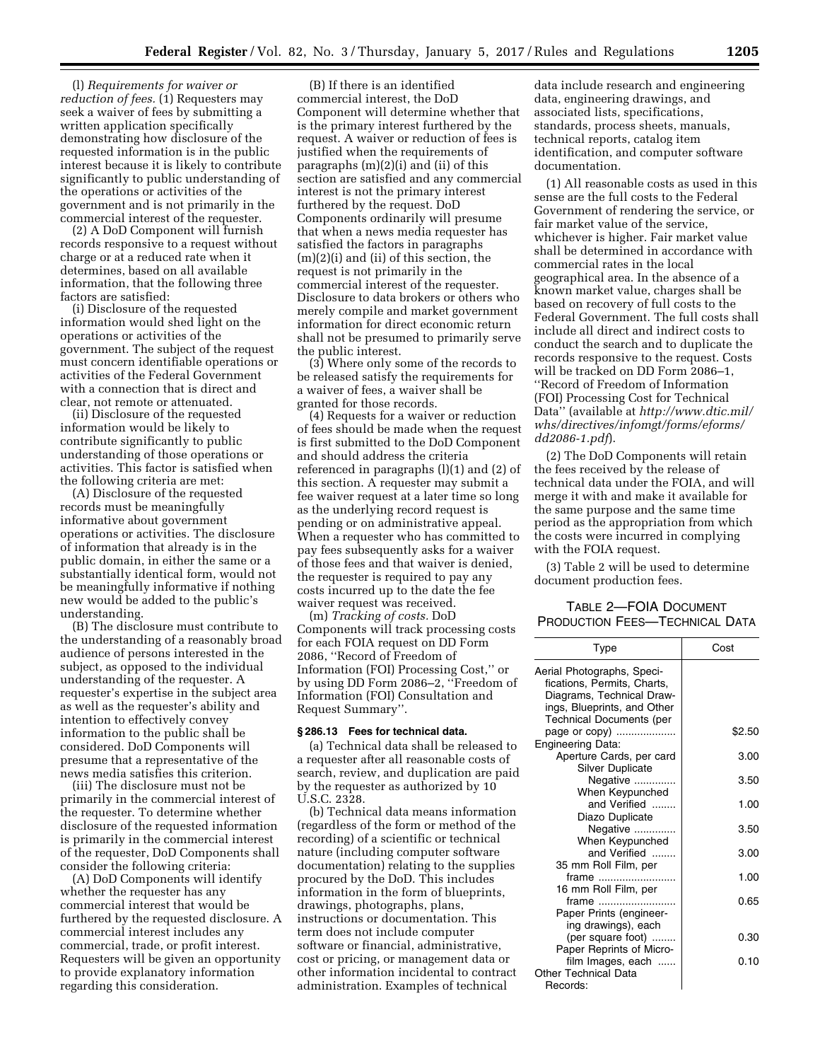(l) *Requirements for waiver or reduction of fees.* (1) Requesters may seek a waiver of fees by submitting a written application specifically demonstrating how disclosure of the requested information is in the public interest because it is likely to contribute significantly to public understanding of the operations or activities of the government and is not primarily in the commercial interest of the requester.

(2) A DoD Component will furnish records responsive to a request without charge or at a reduced rate when it determines, based on all available information, that the following three factors are satisfied:

(i) Disclosure of the requested information would shed light on the operations or activities of the government. The subject of the request must concern identifiable operations or activities of the Federal Government with a connection that is direct and clear, not remote or attenuated.

(ii) Disclosure of the requested information would be likely to contribute significantly to public understanding of those operations or activities. This factor is satisfied when the following criteria are met:

(A) Disclosure of the requested records must be meaningfully informative about government operations or activities. The disclosure of information that already is in the public domain, in either the same or a substantially identical form, would not be meaningfully informative if nothing new would be added to the public's understanding.

(B) The disclosure must contribute to the understanding of a reasonably broad audience of persons interested in the subject, as opposed to the individual understanding of the requester. A requester's expertise in the subject area as well as the requester's ability and intention to effectively convey information to the public shall be considered. DoD Components will presume that a representative of the news media satisfies this criterion.

(iii) The disclosure must not be primarily in the commercial interest of the requester. To determine whether disclosure of the requested information is primarily in the commercial interest of the requester, DoD Components shall consider the following criteria:

(A) DoD Components will identify whether the requester has any commercial interest that would be furthered by the requested disclosure. A commercial interest includes any commercial, trade, or profit interest. Requesters will be given an opportunity to provide explanatory information regarding this consideration.

(B) If there is an identified commercial interest, the DoD Component will determine whether that is the primary interest furthered by the request. A waiver or reduction of fees is justified when the requirements of paragraphs (m)(2)(i) and (ii) of this section are satisfied and any commercial interest is not the primary interest furthered by the request. DoD Components ordinarily will presume that when a news media requester has satisfied the factors in paragraphs (m)(2)(i) and (ii) of this section, the request is not primarily in the commercial interest of the requester. Disclosure to data brokers or others who merely compile and market government information for direct economic return shall not be presumed to primarily serve the public interest.

(3) Where only some of the records to be released satisfy the requirements for a waiver of fees, a waiver shall be granted for those records.

(4) Requests for a waiver or reduction of fees should be made when the request is first submitted to the DoD Component and should address the criteria referenced in paragraphs (l)(1) and (2) of this section. A requester may submit a fee waiver request at a later time so long as the underlying record request is pending or on administrative appeal. When a requester who has committed to pay fees subsequently asks for a waiver of those fees and that waiver is denied, the requester is required to pay any costs incurred up to the date the fee waiver request was received.

(m) *Tracking of costs.* DoD Components will track processing costs for each FOIA request on DD Form 2086, ''Record of Freedom of Information (FOI) Processing Cost,'' or by using DD Form 2086–2, ''Freedom of Information (FOI) Consultation and Request Summary''.

#### **§ 286.13 Fees for technical data.**

(a) Technical data shall be released to a requester after all reasonable costs of search, review, and duplication are paid by the requester as authorized by 10 U.S.C. 2328.

(b) Technical data means information (regardless of the form or method of the recording) of a scientific or technical nature (including computer software documentation) relating to the supplies procured by the DoD. This includes information in the form of blueprints, drawings, photographs, plans, instructions or documentation. This term does not include computer software or financial, administrative, cost or pricing, or management data or other information incidental to contract administration. Examples of technical

data include research and engineering data, engineering drawings, and associated lists, specifications, standards, process sheets, manuals, technical reports, catalog item identification, and computer software documentation.

(1) All reasonable costs as used in this sense are the full costs to the Federal Government of rendering the service, or fair market value of the service, whichever is higher. Fair market value shall be determined in accordance with commercial rates in the local geographical area. In the absence of a known market value, charges shall be based on recovery of full costs to the Federal Government. The full costs shall include all direct and indirect costs to conduct the search and to duplicate the records responsive to the request. Costs will be tracked on DD Form 2086–1, ''Record of Freedom of Information (FOI) Processing Cost for Technical Data'' (available at *[http://www.dtic.mil/](http://www.dtic.mil/whs/directives/infomgt/forms/eforms/dd2086-1.pdf) [whs/directives/infomgt/forms/eforms/](http://www.dtic.mil/whs/directives/infomgt/forms/eforms/dd2086-1.pdf)  [dd2086-1.pdf](http://www.dtic.mil/whs/directives/infomgt/forms/eforms/dd2086-1.pdf)*).

(2) The DoD Components will retain the fees received by the release of technical data under the FOIA, and will merge it with and make it available for the same purpose and the same time period as the appropriation from which the costs were incurred in complying with the FOIA request.

(3) Table 2 will be used to determine document production fees.

# TABLE 2—FOIA DOCUMENT PRODUCTION FEES—TECHNICAL DATA

| Type                                                                                                                                                     | Cost   |  |
|----------------------------------------------------------------------------------------------------------------------------------------------------------|--------|--|
| Aerial Photographs, Speci-<br>fications, Permits, Charts,<br>Diagrams, Technical Draw-<br>ings, Blueprints, and Other<br><b>Technical Documents (per</b> |        |  |
| page or copy)<br><b>Engineering Data:</b>                                                                                                                | \$2.50 |  |
| Aperture Cards, per card<br><b>Silver Duplicate</b>                                                                                                      | 3.00   |  |
| Negative<br>When Keypunched                                                                                                                              | 3.50   |  |
| and Verified<br>Diazo Duplicate                                                                                                                          | 1.00   |  |
| Negative<br>When Keypunched                                                                                                                              | 3.50   |  |
| and Verified<br>35 mm Roll Film, per                                                                                                                     | 3.00   |  |
| frame<br>16 mm Roll Film, per                                                                                                                            | 1.00   |  |
| frame<br>Paper Prints (engineer-<br>ing drawings), each                                                                                                  | 0.65   |  |
| (per square foot)<br>Paper Reprints of Micro-                                                                                                            | 0.30   |  |
| film Images, each<br>Other Technical Data<br>Records:                                                                                                    | 0.10   |  |